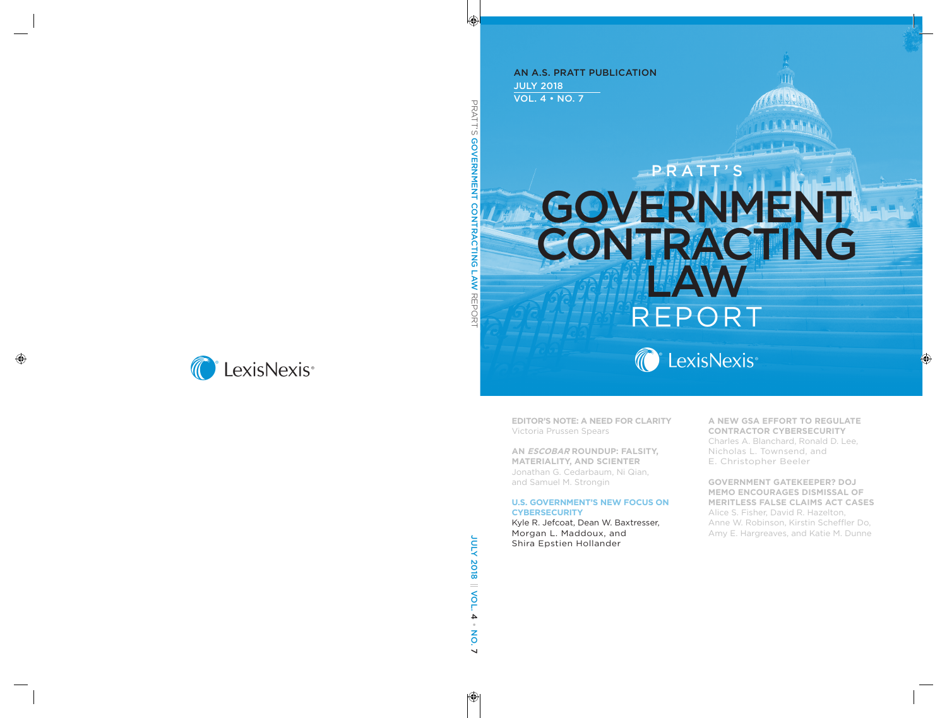JULY 2018 VOL. 4 • NO. 7 AN A.S. PRATT PUBLICATION

# GOVERNMENT CONTRACTING LAW REPORT PRATT'S



**EDITOR'S NOTE: A NEED FOR CLARITY** Victoria Prussen Spears

**AN ESCOBAR ROUNDUP: FALSITY, MATERIALITY, AND SCIENTER**  Jonathan G. Cedarbaum, Ni Qian, and Samuel M. Strongin

#### **U.S. GOVERNMENT'S NEW FOCUS ON CYBERSECURITY**

Kyle R. Jefcoat, Dean W. Baxtresser, Morgan L. Maddoux, and Shira Epstien Hollander

**A NEW GSA EFFORT TO REGULATE CONTRACTOR CYBERSECURITY** Charles A. Blanchard, Ronald D. Lee, Nicholas L. Townsend, and E. Christopher Beeler

**GOVERNMENT GATEKEEPER? DOJ MEMO ENCOURAGES DISMISSAL OF MERITLESS FALSE CLAIMS ACT CASES** Alice S. Fisher, David R. Hazelton, Anne W. Robinson, Kirstin Scheffler Do, Amy E. Hargreaves, and Katie M. Dunne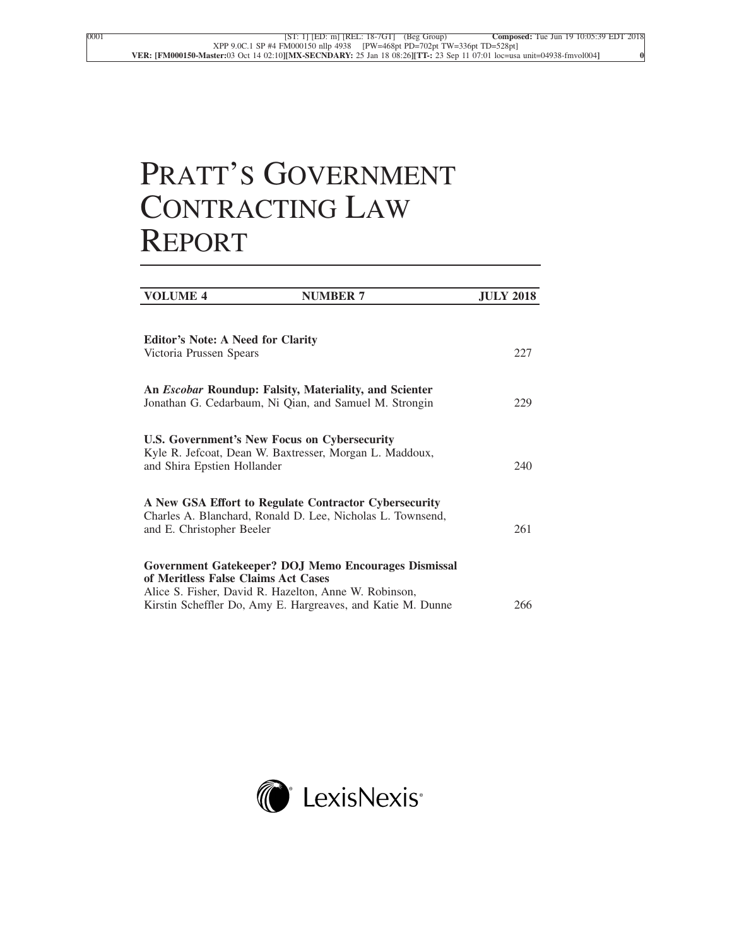## PRATT'S GOVERNMENT CONTRACTING LAW REPORT

| <b>VOLUME 4</b>                          | <b>NUMBER 7</b>                                               | <b>JULY 2018</b> |
|------------------------------------------|---------------------------------------------------------------|------------------|
|                                          |                                                               |                  |
| <b>Editor's Note: A Need for Clarity</b> |                                                               |                  |
| Victoria Prussen Spears                  |                                                               | 227              |
|                                          |                                                               |                  |
|                                          | An <i>Escobar</i> Roundup: Falsity, Materiality, and Scienter |                  |
|                                          | Jonathan G. Cedarbaum, Ni Qian, and Samuel M. Strongin        | 229              |
|                                          |                                                               |                  |
|                                          | U.S. Government's New Focus on Cybersecurity                  |                  |
| and Shira Epstien Hollander              | Kyle R. Jefcoat, Dean W. Baxtresser, Morgan L. Maddoux,       | 240              |
|                                          |                                                               |                  |
|                                          | A New GSA Effort to Regulate Contractor Cybersecurity         |                  |
|                                          | Charles A. Blanchard, Ronald D. Lee, Nicholas L. Townsend,    |                  |
| and E. Christopher Beeler                |                                                               | 261              |
|                                          |                                                               |                  |
| of Meritless False Claims Act Cases      | Government Gatekeeper? DOJ Memo Encourages Dismissal          |                  |
|                                          | Alice S. Fisher, David R. Hazelton, Anne W. Robinson,         |                  |
|                                          | Kirstin Scheffler Do, Amy E. Hargreaves, and Katie M. Dunne   | 266              |

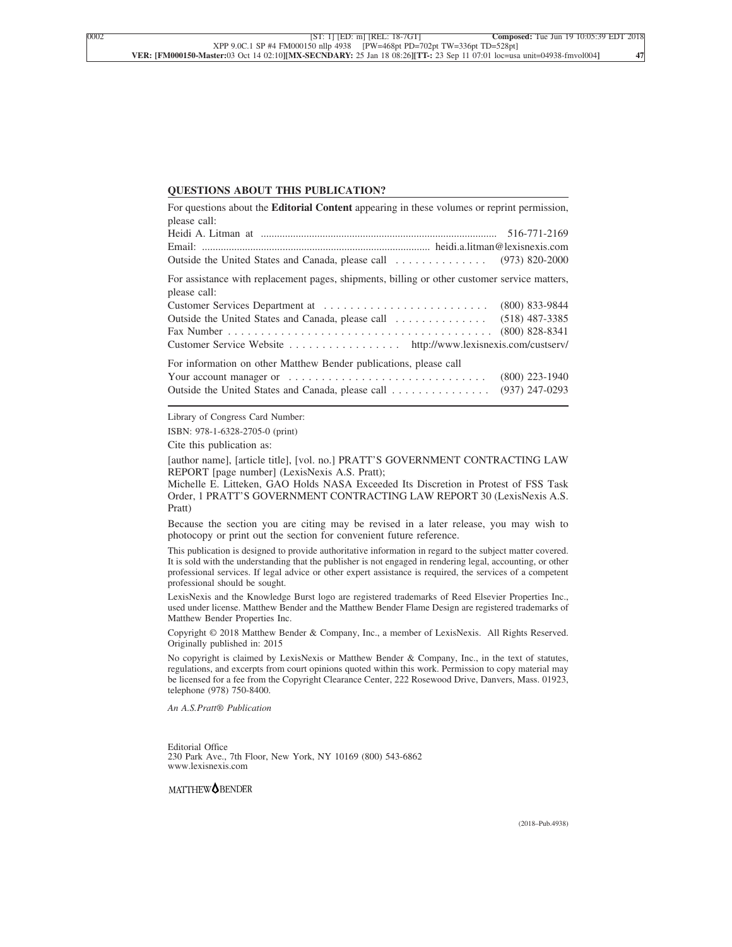#### **QUESTIONS ABOUT THIS PUBLICATION?**

| For questions about the <b>Editorial Content</b> appearing in these volumes or reprint permission, |                  |
|----------------------------------------------------------------------------------------------------|------------------|
| please call:                                                                                       |                  |
|                                                                                                    |                  |
|                                                                                                    |                  |
|                                                                                                    |                  |
| For assistance with replacement pages, shipments, billing or other customer service matters,       |                  |
| please call:                                                                                       |                  |
|                                                                                                    |                  |
|                                                                                                    |                  |
|                                                                                                    |                  |
| Customer Service Website http://www.lexisnexis.com/custserv/                                       |                  |
| For information on other Matthew Bender publications, please call                                  |                  |
|                                                                                                    | $(800)$ 223-1940 |
| Outside the United States and Canada, please call                                                  | $(937)$ 247-0293 |

Library of Congress Card Number:

ISBN: 978-1-6328-2705-0 (print)

Cite this publication as:

[author name], [article title], [vol. no.] PRATT'S GOVERNMENT CONTRACTING LAW REPORT [page number] (LexisNexis A.S. Pratt);

Michelle E. Litteken, GAO Holds NASA Exceeded Its Discretion in Protest of FSS Task Order, 1 PRATT'S GOVERNMENT CONTRACTING LAW REPORT 30 (LexisNexis A.S. Pratt)

Because the section you are citing may be revised in a later release, you may wish to photocopy or print out the section for convenient future reference.

This publication is designed to provide authoritative information in regard to the subject matter covered. It is sold with the understanding that the publisher is not engaged in rendering legal, accounting, or other professional services. If legal advice or other expert assistance is required, the services of a competent professional should be sought.

LexisNexis and the Knowledge Burst logo are registered trademarks of Reed Elsevier Properties Inc., used under license. Matthew Bender and the Matthew Bender Flame Design are registered trademarks of Matthew Bender Properties Inc.

Copyright © 2018 Matthew Bender & Company, Inc., a member of LexisNexis. All Rights Reserved. Originally published in: 2015

No copyright is claimed by LexisNexis or Matthew Bender & Company, Inc., in the text of statutes, regulations, and excerpts from court opinions quoted within this work. Permission to copy material may be licensed for a fee from the Copyright Clearance Center, 222 Rosewood Drive, Danvers, Mass. 01923, telephone (978) 750-8400.

*An A.S.Pratt® Publication*

Editorial Office 230 Park Ave., 7th Floor, New York, NY 10169 (800) 543-6862 www.lexisnexis.com

MATTHEW<sup>OBENDER</sup>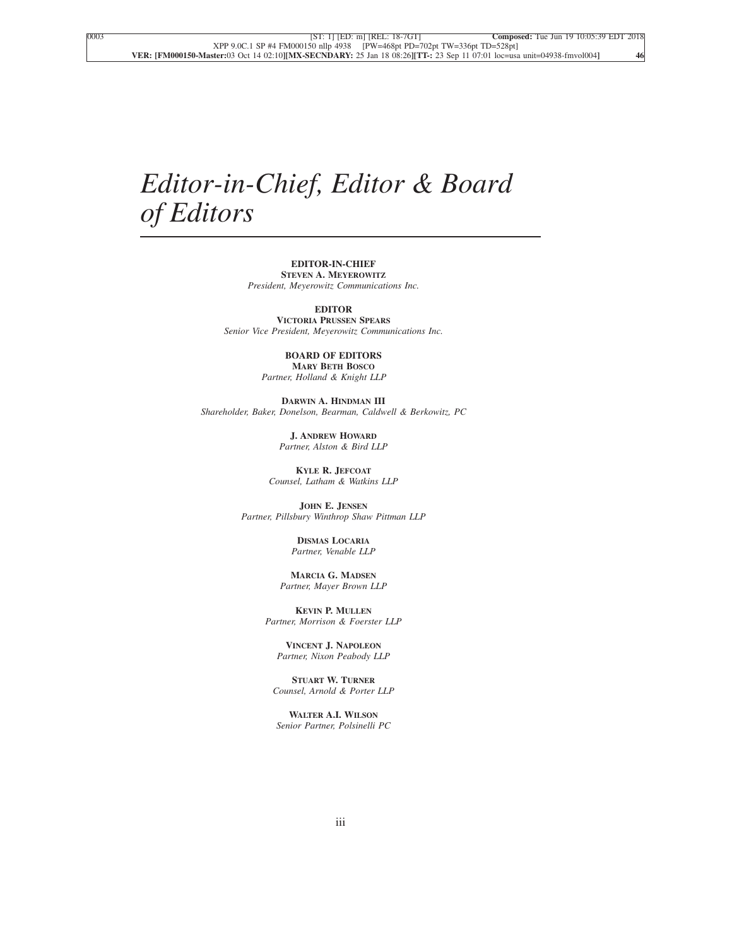### *Editor-in-Chief, Editor & Board of Editors*

#### **EDITOR-IN-CHIEF STEVEN A. MEYEROWITZ**

*President, Meyerowitz Communications Inc.*

**EDITOR**

**VICTORIA PRUSSEN SPEARS** *Senior Vice President, Meyerowitz Communications Inc.*

#### **BOARD OF EDITORS MARY BETH BOSCO**

*Partner, Holland & Knight LLP*

**DARWIN A. HINDMAN III** *Shareholder, Baker, Donelson, Bearman, Caldwell & Berkowitz, PC*

> **J. ANDREW HOWARD** *Partner, Alston & Bird LLP*

**KYLE R. JEFCOAT** *Counsel, Latham & Watkins LLP*

**JOHN E. JENSEN** *Partner, Pillsbury Winthrop Shaw Pittman LLP*

> **DISMAS LOCARIA** *Partner, Venable LLP*

**MARCIA G. MADSEN** *Partner, Mayer Brown LLP*

**KEVIN P. MULLEN** *Partner, Morrison & Foerster LLP*

**VINCENT J. NAPOLEON** *Partner, Nixon Peabody LLP*

**STUART W. TURNER** *Counsel, Arnold & Porter LLP*

**WALTER A.I. WILSON** *Senior Partner, Polsinelli PC*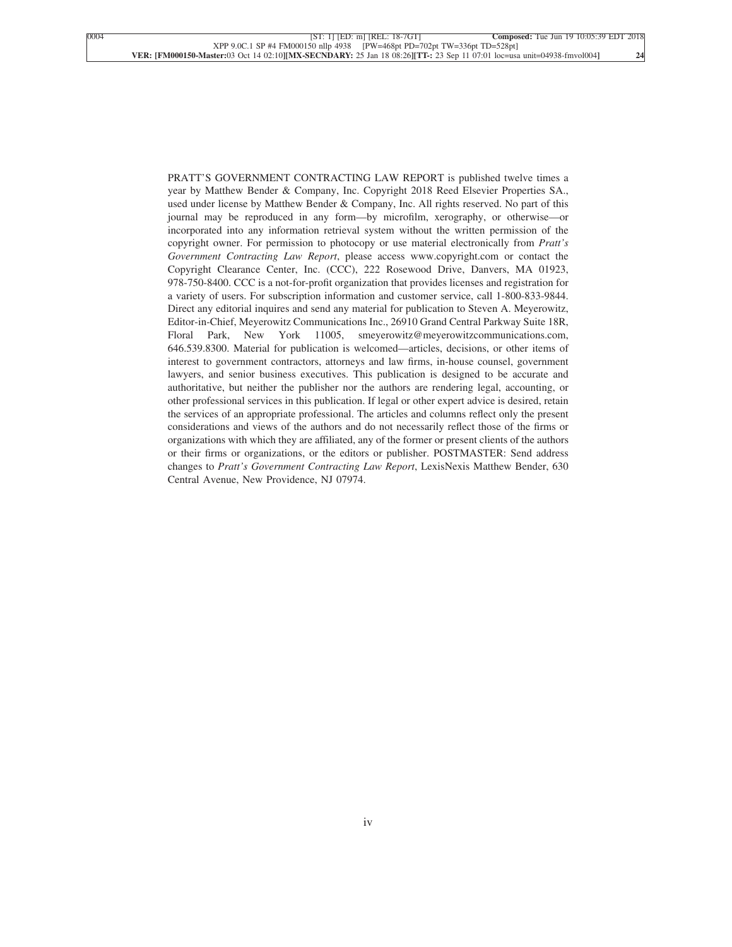PRATT'S GOVERNMENT CONTRACTING LAW REPORT is published twelve times a year by Matthew Bender & Company, Inc. Copyright 2018 Reed Elsevier Properties SA., used under license by Matthew Bender & Company, Inc. All rights reserved. No part of this journal may be reproduced in any form—by microfilm, xerography, or otherwise—or incorporated into any information retrieval system without the written permission of the copyright owner. For permission to photocopy or use material electronically from *Pratt's Government Contracting Law Report*, please access www.copyright.com or contact the Copyright Clearance Center, Inc. (CCC), 222 Rosewood Drive, Danvers, MA 01923, 978-750-8400. CCC is a not-for-profit organization that provides licenses and registration for a variety of users. For subscription information and customer service, call 1-800-833-9844. Direct any editorial inquires and send any material for publication to Steven A. Meyerowitz, Editor-in-Chief, Meyerowitz Communications Inc., 26910 Grand Central Parkway Suite 18R, Floral Park, New York 11005, smeyerowitz@meyerowitzcommunications.com, 646.539.8300. Material for publication is welcomed—articles, decisions, or other items of interest to government contractors, attorneys and law firms, in-house counsel, government lawyers, and senior business executives. This publication is designed to be accurate and authoritative, but neither the publisher nor the authors are rendering legal, accounting, or other professional services in this publication. If legal or other expert advice is desired, retain the services of an appropriate professional. The articles and columns reflect only the present considerations and views of the authors and do not necessarily reflect those of the firms or organizations with which they are affiliated, any of the former or present clients of the authors or their firms or organizations, or the editors or publisher. POSTMASTER: Send address changes to *Pratt's Government Contracting Law Report*, LexisNexis Matthew Bender, 630 Central Avenue, New Providence, NJ 07974.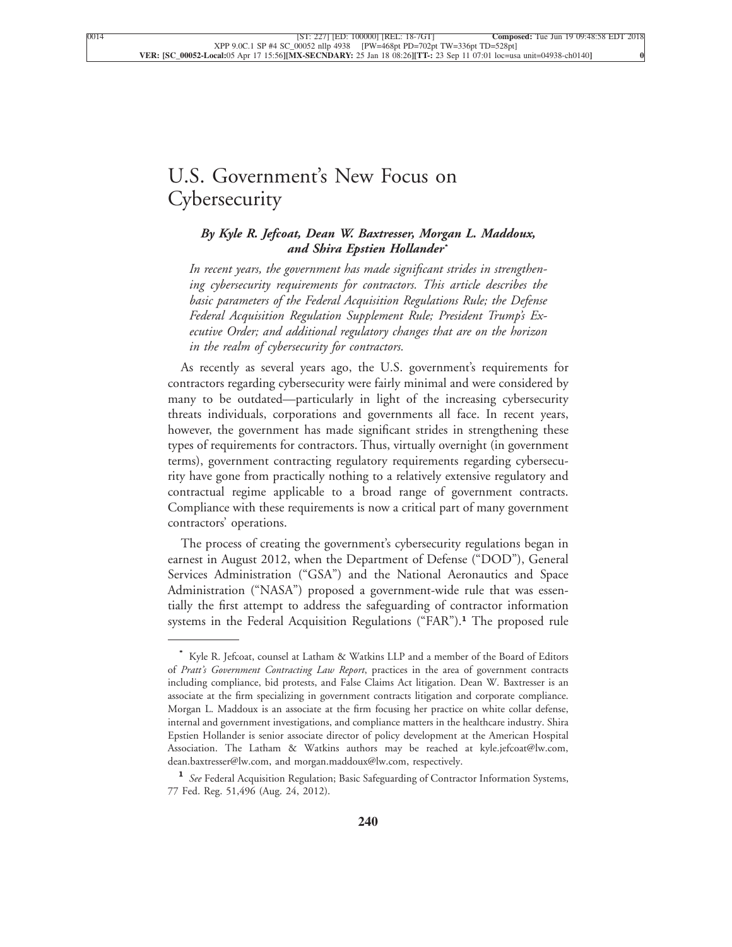### [U.S. Government's New Focus on](xpath-> core:title,  tr:secmain/core:title,  desig_title,  style_01) **[Cybersecurity](xpath-> core:title,  tr:secmain/core:title,  desig_title,  style_01)**

#### *[By Kyle R. Jefcoat, Dean W. Baxtresser, Morgan L. Maddoux,](xpath-> core:byline,  core:byline,  byline,  style_01) and [Shira Epstien Hollander](xpath-> core:byline,  core:byline,  byline,  style_01)***\***

*[In recent years, the government has made significant strides in strengthen](xpath-> core:blockquote-para,  Default,  blockquote,  style_02)[ing cybersecurity requirements for contractors. This article describes the](xpath-> core:blockquote-para,  Default,  blockquote,  style_02) [basic parameters of the Federal Acquisition Regulations Rule; the Defense](xpath-> core:blockquote-para,  Default,  blockquote,  style_02) [Federal Acquisition Regulation Supplement Rule; President Trump's Ex](xpath-> core:blockquote-para,  Default,  blockquote,  style_02)[ecutive Order; and additional regulatory changes that are on the horizon](xpath-> core:blockquote-para,  Default,  blockquote,  style_02) [in the realm of cybersecurity for contractors.](xpath-> core:blockquote-para,  Default,  blockquote,  style_02)*

[As recently as several years ago, the U.S. government's requirements for](xpath-> core:para,  Default,  para-list,  style_01) [contractors regarding cybersecurity were fairly minimal and were considered by](xpath-> core:para,  Default,  para-list,  style_01) [many to be outdated—particularly in light of the increasing cybersecurity](xpath-> core:para,  Default,  para-list,  style_01) [threats individuals, corporations and governments all face. In recent years,](xpath-> core:para,  Default,  para-list,  style_01) [however, the government has made significant strides in strengthening these](xpath-> core:para,  Default,  para-list,  style_01) [types of requirements for contractors. Thus, virtually overnight \(in government](xpath-> core:para,  Default,  para-list,  style_01) [terms\), government contracting regulatory requirements regarding cybersecu](xpath-> core:para,  Default,  para-list,  style_01)[rity have gone from practically nothing to a relatively extensive regulatory and](xpath-> core:para,  Default,  para-list,  style_01) [contractual regime applicable to a broad range of government contracts.](xpath-> core:para,  Default,  para-list,  style_01) [Compliance with these requirements is now a critical part of many government](xpath-> core:para,  Default,  para-list,  style_01) [contractors' operations.](xpath-> core:para,  Default,  para-list,  style_01)

[The process of creating the government's cybersecurity regulations began in](xpath-> core:para,  Default,  para-list,  style_01) [earnest in August 2012, when the Department of Defense \("DOD"\), General](xpath-> core:para,  Default,  para-list,  style_01) [Services Administration \("GSA"\) and the National Aeronautics and Space](xpath-> core:para,  Default,  para-list,  style_01) [Administration \("NASA"\) proposed a government-wide rule that was essen](xpath-> core:para,  Default,  para-list,  style_01)[tially the first attempt to address the safeguarding of contractor information](xpath-> core:para,  Default,  para-list,  style_01) [systems in the Federal Acquisition Regulations \("FAR"\).](xpath-> core:para,  Default,  para-list,  style_01)**<sup>1</sup>** The proposed rule

**<sup>\*</sup>** [Kyle R. Jefcoat, counsel at Latham & Watkins LLP and a member of the Board of Editors](xpath-> pnfo:bio-para,  fn:bio-footnote/pnfo:bio-para,  byline,  ) of *Pratt's Government Contracting Law Report*[, practices in the area of government contracts](xpath-> pnfo:bio-para,  fn:bio-footnote/pnfo:bio-para,  byline,  ) [including compliance, bid protests, and False Claims Act litigation. Dean W. Baxtresser is an](xpath-> pnfo:bio-para,  fn:bio-footnote/pnfo:bio-para,  byline,  ) [associate at the firm specializing in government contracts litigation and corporate compliance.](xpath-> pnfo:bio-para,  fn:bio-footnote/pnfo:bio-para,  byline,  ) [Morgan L. Maddoux is an associate at the firm focusing her practice on white collar defense,](xpath-> pnfo:bio-para,  fn:bio-footnote/pnfo:bio-para,  byline,  ) [internal and government investigations, and compliance matters in the healthcare industry. Shira](xpath-> pnfo:bio-para,  fn:bio-footnote/pnfo:bio-para,  byline,  ) [Epstien Hollander is senior associate director of policy development at the American Hospital](xpath-> pnfo:bio-para,  fn:bio-footnote/pnfo:bio-para,  byline,  ) [Association. The Latham & Watkins authors may be reached at kyle.jefcoat@lw.com,](xpath-> pnfo:bio-para,  fn:bio-footnote/pnfo:bio-para,  byline,  ) [dean.baxtresser@lw.com, and morgan.maddoux@lw.com, respectively.](xpath-> pnfo:bio-para,  fn:bio-footnote/pnfo:bio-para,  byline,  )

**<sup>1</sup>** *See* [Federal Acquisition Regulation; Basic Safeguarding of Contractor Information Systems,](xpath-> fn:para,  fn:footnote/fn:para,  footnote,  style_03) [77 Fed. Reg. 51,496 \(Aug. 24, 2012\).](xpath-> fn:para,  fn:footnote/fn:para,  footnote,  style_03)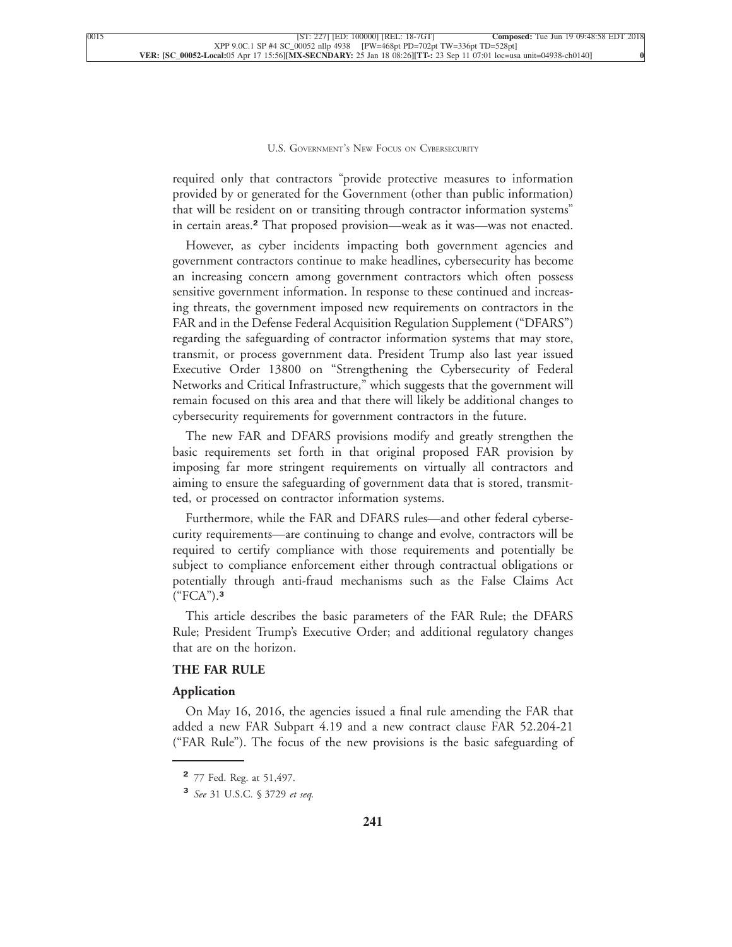required only that contractors "provide protective measures to information provided by or generated for the Government (other than public information) that will be resident on or transiting through contractor information systems" in certain areas.**<sup>2</sup>** [That proposed provision—weak as it was—was not enacted.](xpath-> core:para,  Default,  para-list,  style_01)

[However, as cyber incidents impacting both government agencies and](xpath-> core:para,  Default,  para-list,  style_01) [government contractors continue to make headlines, cybersecurity has become](xpath-> core:para,  Default,  para-list,  style_01) [an increasing concern among government contractors which often possess](xpath-> core:para,  Default,  para-list,  style_01) [sensitive government information. In response to these continued and increas](xpath-> core:para,  Default,  para-list,  style_01)[ing threats, the government imposed new requirements on contractors in the](xpath-> core:para,  Default,  para-list,  style_01) [FAR and in the Defense Federal Acquisition Regulation Supplement \("DFARS"\)](xpath-> core:para,  Default,  para-list,  style_01) [regarding the safeguarding of contractor information systems that may store,](xpath-> core:para,  Default,  para-list,  style_01) [transmit, or process government data. President Trump also last year issued](xpath-> core:para,  Default,  para-list,  style_01) [Executive Order 13800 on "Strengthening the Cybersecurity of Federal](xpath-> core:para,  Default,  para-list,  style_01) [Networks and Critical Infrastructure," which suggests that the government will](xpath-> core:para,  Default,  para-list,  style_01) [remain focused on this area and that there will likely be additional changes to](xpath-> core:para,  Default,  para-list,  style_01) [cybersecurity requirements for government contractors in the future.](xpath-> core:para,  Default,  para-list,  style_01)

[The new FAR and DFARS provisions modify and greatly strengthen the](xpath-> core:para,  Default,  para-list,  style_01) [basic requirements set forth in that original proposed FAR provision by](xpath-> core:para,  Default,  para-list,  style_01) [imposing far more stringent requirements on virtually all contractors and](xpath-> core:para,  Default,  para-list,  style_01) [aiming to ensure the safeguarding of government data that is stored, transmit](xpath-> core:para,  Default,  para-list,  style_01)[ted, or processed on contractor information systems.](xpath-> core:para,  Default,  para-list,  style_01)

[Furthermore, while the FAR and DFARS rules—and other federal cyberse](xpath-> core:para,  Default,  para-list,  style_01)[curity requirements—are continuing to change and evolve, contractors will be](xpath-> core:para,  Default,  para-list,  style_01) [required to certify compliance with those requirements and potentially be](xpath-> core:para,  Default,  para-list,  style_01) [subject to compliance enforcement either through contractual obligations or](xpath-> core:para,  Default,  para-list,  style_01) [potentially through anti-fraud mechanisms such as the False Claims Act](xpath-> core:para,  Default,  para-list,  style_01) [\("FCA"\).](xpath-> core:para,  Default,  para-list,  style_01)**<sup>3</sup>**

[This article describes the basic parameters of the FAR Rule; the DFARS](xpath-> core:para,  Default,  para-list,  style_01) [Rule; President Trump's Executive Order; and additional regulatory changes](xpath-> core:para,  Default,  para-list,  style_01) [that are on the horizon.](xpath-> core:para,  Default,  para-list,  style_01)

#### **[THE FAR RULE](xpath-> core:generic-hd,  Default,  core_generic_hd,  style_01)**

#### **[Application](xpath-> core:generic-hd,  Default,  core_generic_hd,  style_01)**

[On May 16, 2016, the agencies issued a final rule amending the FAR that](xpath-> core:para,  Default,  para-list,  style_01) [added a new FAR Subpart 4.19 and a new contract clause FAR 52.204-21](xpath-> core:para,  Default,  para-list,  style_01) [\("FAR Rule"\). The focus of the new provisions is the basic safeguarding of](xpath-> core:para,  Default,  para-list,  style_01)

**<sup>2</sup>** [77 Fed. Reg. at 51,497.](xpath-> fn:para,  fn:footnote/fn:para,  footnote,  style_03)

**<sup>3</sup>** *See* [31 U.S.C. § 3729](xpath-> fn:para,  fn:footnote/fn:para,  footnote,  style_03) *et seq.*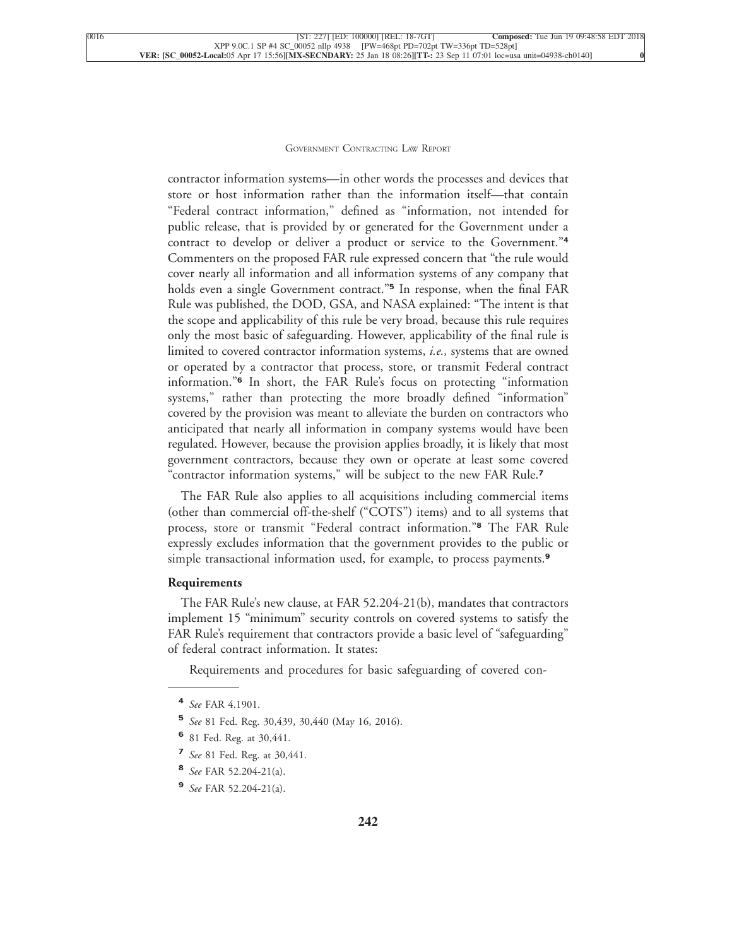contractor information systems—in other words the processes and devices that store or host information rather than the information itself—that contain "Federal contract information," defined as "information, not intended for public release, that is provided by or generated for the Government under a contract to develop or deliver a product or service to the Government."**<sup>4</sup>** Commenters on the proposed FAR rule expressed concern that "the rule would cover nearly all information and all information systems of any company that holds even a single Government contract."**<sup>5</sup>** In response, when the final FAR Rule was published, the DOD, GSA, and NASA explained: "The intent is that the scope and applicability of this rule be very broad, because this rule requires only the most basic of safeguarding. However, applicability of the final rule is limited to covered contractor information systems, *i.e.,* systems that are owned or operated by a contractor that process, store, or transmit Federal contract information."**<sup>6</sup>** In short, the FAR Rule's focus on protecting "information systems," rather than protecting the more broadly defined "information" covered by the provision was meant to alleviate the burden on contractors who anticipated that nearly all information in company systems would have been regulated. However, because the provision applies broadly, it is likely that most government contractors, because they own or operate at least some covered ["contractor information systems," will be subject to the new FAR Rule.](xpath-> core:para,  Default,  para-list,  style_01)**<sup>7</sup>**

[The FAR Rule also applies to all acquisitions including commercial items](xpath-> core:para,  Default,  para-list,  style_01) [\(other than commercial off-the-shelf \("COTS"\) items\) and to all systems that](xpath-> core:para,  Default,  para-list,  style_01) [process, store or transmit "Federal contract information."](xpath-> core:para,  Default,  para-list,  style_01)**<sup>8</sup>** The FAR Rule [expressly excludes information that the government provides to the public or](xpath-> core:para,  Default,  para-list,  style_01) [simple transactional information used, for example, to process payments.](xpath-> core:para,  Default,  para-list,  style_01)**<sup>9</sup>**

#### **[Requirements](xpath-> core:generic-hd,  Default,  core_generic_hd,  style_01)**

[The FAR Rule's new clause, at FAR 52.204-21\(b\), mandates that contractors](xpath-> core:para,  Default,  para-list,  style_01) [implement 15 "minimum" security controls on covered systems to satisfy the](xpath-> core:para,  Default,  para-list,  style_01) [FAR Rule's requirement that contractors provide a basic level of "safeguarding"](xpath-> core:para,  Default,  para-list,  style_01) [of federal contract information. It states:](xpath-> core:para,  Default,  para-list,  style_01)

[Requirements and procedures for basic safeguarding of covered con-](xpath-> core:blockquote-para,  Default,  blockquote,  style_02)

- **6** [81 Fed. Reg. at 30,441.](xpath-> fn:para,  fn:footnote/fn:para,  footnote,  style_03)
- **7** *See* [81 Fed. Reg. at 30,441.](xpath-> fn:para,  fn:footnote/fn:para,  footnote,  style_03)
- **8** *See* [FAR 52.204-21\(a\).](xpath-> fn:para,  fn:footnote/fn:para,  footnote,  style_03)
- **9** *See* [FAR 52.204-21\(a\).](xpath-> fn:para,  fn:footnote/fn:para,  footnote,  style_03)

**<sup>4</sup>** *See* [FAR 4.1901.](xpath-> fn:para,  fn:footnote/fn:para,  footnote,  style_03)

**<sup>5</sup>** *See* [81 Fed. Reg. 30,439, 30,440 \(May 16, 2016\).](xpath-> fn:para,  fn:footnote/fn:para,  footnote,  style_03)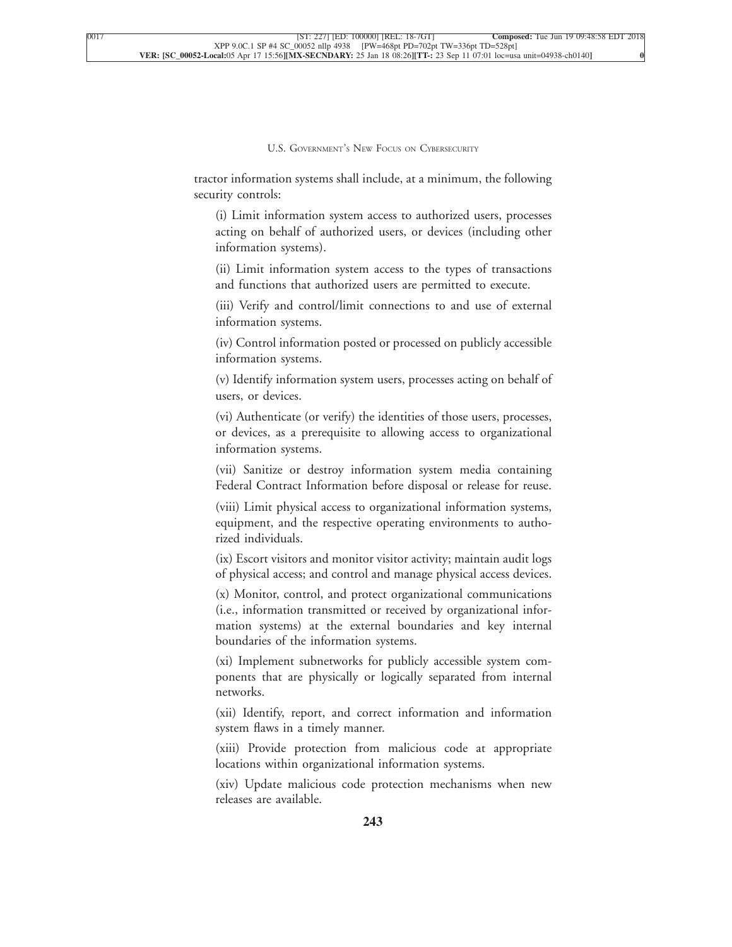tractor information systems shall include, at a minimum, the following security controls:

[\(i\) Limit information system access to authorized users, processes](xpath-> core:blockquote-para,  core:blockquote-para//core:blockquote-para,  blockquote,  style_02) [acting on behalf of authorized users, or devices \(including other](xpath-> core:blockquote-para,  core:blockquote-para//core:blockquote-para,  blockquote,  style_02) [information systems\).](xpath-> core:blockquote-para,  core:blockquote-para//core:blockquote-para,  blockquote,  style_02)

[\(ii\) Limit information system access to the types of transactions](xpath-> core:blockquote-para,  core:blockquote-para//core:blockquote-para,  blockquote,  style_02) [and functions that authorized users are permitted to execute.](xpath-> core:blockquote-para,  core:blockquote-para//core:blockquote-para,  blockquote,  style_02)

[\(iii\) Verify and control/limit connections to and use of external](xpath-> core:blockquote-para,  core:blockquote-para//core:blockquote-para,  blockquote,  style_02) [information systems.](xpath-> core:blockquote-para,  core:blockquote-para//core:blockquote-para,  blockquote,  style_02)

[\(iv\) Control information posted or processed on publicly accessible](xpath-> core:blockquote-para,  core:blockquote-para//core:blockquote-para,  blockquote,  style_02) [information systems.](xpath-> core:blockquote-para,  core:blockquote-para//core:blockquote-para,  blockquote,  style_02)

[\(v\) Identify information system users, processes acting on behalf of](xpath-> core:blockquote-para,  core:blockquote-para//core:blockquote-para,  blockquote,  style_02) [users, or devices.](xpath-> core:blockquote-para,  core:blockquote-para//core:blockquote-para,  blockquote,  style_02)

[\(vi\) Authenticate \(or verify\) the identities of those users, processes,](xpath-> core:blockquote-para,  core:blockquote-para//core:blockquote-para,  blockquote,  style_02) [or devices, as a prerequisite to allowing access to organizational](xpath-> core:blockquote-para,  core:blockquote-para//core:blockquote-para,  blockquote,  style_02) [information systems.](xpath-> core:blockquote-para,  core:blockquote-para//core:blockquote-para,  blockquote,  style_02)

[\(vii\) Sanitize or destroy information system media containing](xpath-> core:blockquote-para,  core:blockquote-para//core:blockquote-para,  blockquote,  style_02) [Federal Contract Information before disposal or release for reuse.](xpath-> core:blockquote-para,  core:blockquote-para//core:blockquote-para,  blockquote,  style_02)

[\(viii\) Limit physical access to organizational information systems,](xpath-> core:blockquote-para,  core:blockquote-para//core:blockquote-para,  blockquote,  style_02) [equipment, and the respective operating environments to autho](xpath-> core:blockquote-para,  core:blockquote-para//core:blockquote-para,  blockquote,  style_02)[rized individuals.](xpath-> core:blockquote-para,  core:blockquote-para//core:blockquote-para,  blockquote,  style_02)

[\(ix\) Escort visitors and monitor visitor activity; maintain audit logs](xpath-> core:blockquote-para,  core:blockquote-para//core:blockquote-para,  blockquote,  style_02) [of physical access; and control and manage physical access devices.](xpath-> core:blockquote-para,  core:blockquote-para//core:blockquote-para,  blockquote,  style_02)

[\(x\) Monitor, control, and protect organizational communications](xpath-> core:blockquote-para,  core:blockquote-para//core:blockquote-para,  blockquote,  style_02) [\(i.e., information transmitted or received by organizational infor](xpath-> core:blockquote-para,  core:blockquote-para//core:blockquote-para,  blockquote,  style_02)[mation systems\) at the external boundaries and key internal](xpath-> core:blockquote-para,  core:blockquote-para//core:blockquote-para,  blockquote,  style_02) [boundaries of the information systems.](xpath-> core:blockquote-para,  core:blockquote-para//core:blockquote-para,  blockquote,  style_02)

[\(xi\) Implement subnetworks for publicly accessible system com](xpath-> core:blockquote-para,  core:blockquote-para//core:blockquote-para,  blockquote,  style_02)[ponents that are physically or logically separated from internal](xpath-> core:blockquote-para,  core:blockquote-para//core:blockquote-para,  blockquote,  style_02) [networks.](xpath-> core:blockquote-para,  core:blockquote-para//core:blockquote-para,  blockquote,  style_02)

[\(xii\) Identify, report, and correct information and information](xpath-> core:blockquote-para,  core:blockquote-para//core:blockquote-para,  blockquote,  style_02) [system flaws in a timely manner.](xpath-> core:blockquote-para,  core:blockquote-para//core:blockquote-para,  blockquote,  style_02)

[\(xiii\) Provide protection from malicious code at appropriate](xpath-> core:blockquote-para,  core:blockquote-para//core:blockquote-para,  blockquote,  style_02) [locations within organizational information systems.](xpath-> core:blockquote-para,  core:blockquote-para//core:blockquote-para,  blockquote,  style_02)

[\(xiv\) Update malicious code protection mechanisms when new](xpath-> core:blockquote-para,  core:blockquote-para//core:blockquote-para,  blockquote,  style_02) [releases are available.](xpath-> core:blockquote-para,  core:blockquote-para//core:blockquote-para,  blockquote,  style_02)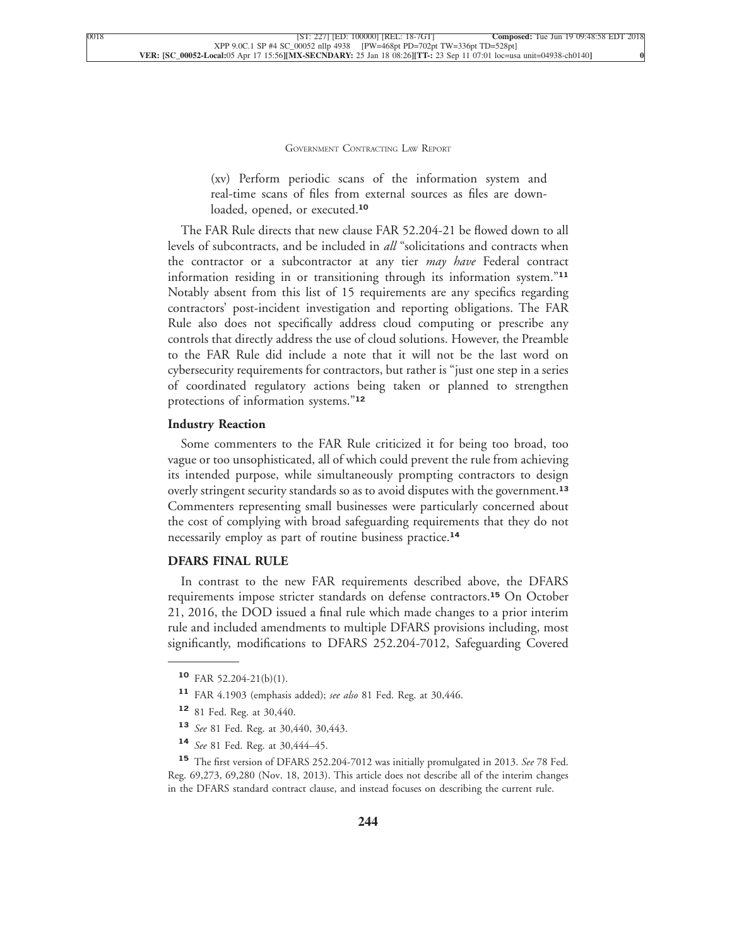[\(xv\) Perform periodic scans of the information system and](xpath-> core:blockquote-para,  core:blockquote-para//core:blockquote-para,  blockquote,  style_02) [real-time scans of files from external sources as files are down](xpath-> core:blockquote-para,  core:blockquote-para//core:blockquote-para,  blockquote,  style_02)[loaded, opened, or executed.](xpath-> core:blockquote-para,  core:blockquote-para//core:blockquote-para,  blockquote,  style_02)**<sup>10</sup>**

[The FAR Rule directs that new clause FAR 52.204-21 be flowed down to all](xpath-> core:para,  Default,  para-list,  style_01) [levels of subcontracts, and be included in](xpath-> core:para,  Default,  para-list,  style_01) *all* "solicitations and contracts when [the contractor or a subcontractor at any tier](xpath-> core:para,  Default,  para-list,  style_01) *may have* Federal contract [information residing in or transitioning through its information system."](xpath-> core:para,  Default,  para-list,  style_01)**<sup>11</sup>** [Notably absent from this list of 15 requirements are any specifics regarding](xpath-> core:para,  Default,  para-list,  style_01) [contractors' post-incident investigation and reporting obligations. The FAR](xpath-> core:para,  Default,  para-list,  style_01) [Rule also does not specifically address cloud computing or prescribe any](xpath-> core:para,  Default,  para-list,  style_01) [controls that directly address the use of cloud solutions. However, the Preamble](xpath-> core:para,  Default,  para-list,  style_01) [to the FAR Rule did include a note that it will not be the last word on](xpath-> core:para,  Default,  para-list,  style_01) [cybersecurity requirements for contractors, but rather is "just one step in a series](xpath-> core:para,  Default,  para-list,  style_01) [of coordinated regulatory actions being taken or planned to strengthen](xpath-> core:para,  Default,  para-list,  style_01) [protections of information systems."](xpath-> core:para,  Default,  para-list,  style_01)**<sup>12</sup>**

#### **[Industry Reaction](xpath-> core:generic-hd,  Default,  core_generic_hd,  style_01)**

[Some commenters to the FAR Rule criticized it for being too broad, too](xpath-> core:para,  Default,  para-list,  style_01) [vague or too unsophisticated, all of which could prevent the rule from achieving](xpath-> core:para,  Default,  para-list,  style_01) [its intended purpose, while simultaneously prompting contractors to design](xpath-> core:para,  Default,  para-list,  style_01) [overly stringent security standards so as to avoid disputes](xpath-> core:para,  Default,  para-list,  style_01) with the government.**<sup>13</sup>** [Commenters representing small businesses were particularly concerned about](xpath-> core:para,  Default,  para-list,  style_01) [the cost of complying with broad safeguarding requirements that they do not](xpath-> core:para,  Default,  para-list,  style_01) [necessarily employ as part of routine business practice.](xpath-> core:para,  Default,  para-list,  style_01)**<sup>14</sup>**

#### **[DFARS FINAL RULE](xpath-> core:generic-hd,  Default,  core_generic_hd,  style_01)**

[In contrast to the new FAR requirements described above, the DFARS](xpath-> core:para,  Default,  para-list,  style_01) [requirements impose stricter standards on defense contractors.](xpath-> core:para,  Default,  para-list,  style_01)**<sup>15</sup>** On October [21, 2016, the DOD issued a final rule which made changes to a prior interim](xpath-> core:para,  Default,  para-list,  style_01) [rule and included amendments to multiple DFARS provisions including, most](xpath-> core:para,  Default,  para-list,  style_01) [significantly, modifications to DFARS 252.204-7012, Safeguarding Covered](xpath-> core:para,  Default,  para-list,  style_01)

- **<sup>13</sup>** *See* [81 Fed. Reg. at 30,440, 30,443.](xpath-> fn:para,  fn:footnote/fn:para,  footnote,  style_03)
- **<sup>14</sup>** *See* [81 Fed. Reg. at 30,444–45.](xpath-> fn:para,  fn:footnote/fn:para,  footnote,  style_03)

**<sup>15</sup>** [The first version of DFARS 252.204-7012 was initially promulgated in 2013.](xpath-> fn:para,  fn:footnote/fn:para,  footnote,  style_03) *See* 78 Fed. [Reg. 69,273, 69,280 \(Nov. 18, 2013\). This article does not describe all of the interim changes](xpath-> fn:para,  fn:footnote/fn:para,  footnote,  style_03) [in the DFARS standard contract clause, and instead focuses on describing the current rule.](xpath-> fn:para,  fn:footnote/fn:para,  footnote,  style_03)

**<sup>10</sup>** [FAR 52.204-21\(b\)\(1\).](xpath-> fn:para,  fn:footnote/fn:para,  footnote,  style_03)

**<sup>11</sup>** [FAR 4.1903 \(emphasis added\);](xpath-> fn:para,  fn:footnote/fn:para,  footnote,  style_03) *see also* 81 Fed. Reg. at 30,446.

**<sup>12</sup>** [81 Fed. Reg. at 30,440.](xpath-> fn:para,  fn:footnote/fn:para,  footnote,  style_03)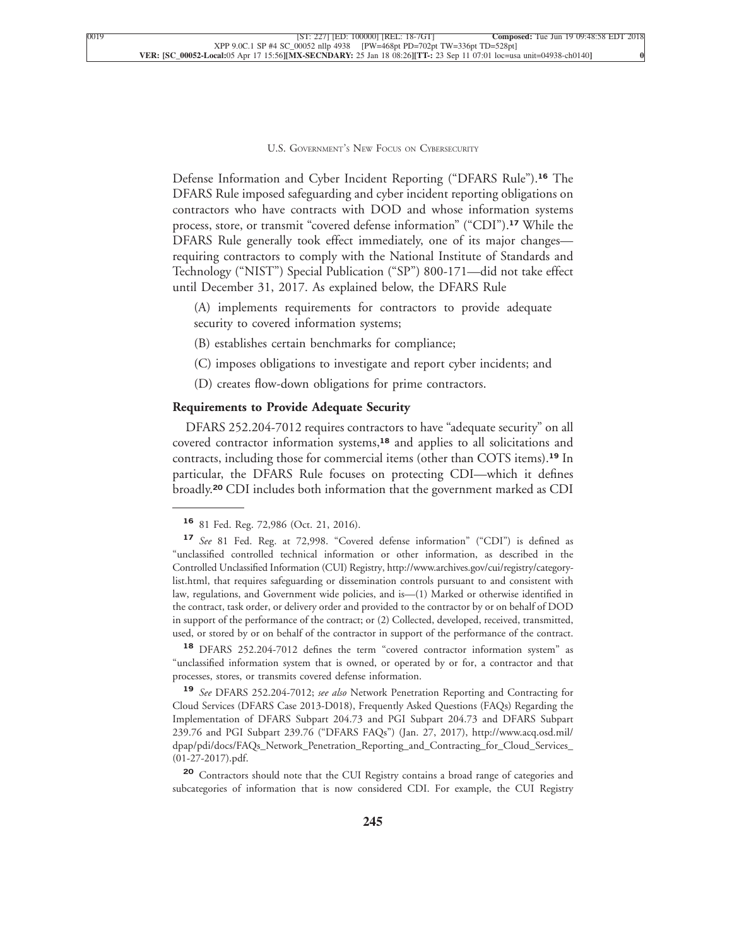Defense Information and Cyber Incident Reporting ("DFARS Rule").**<sup>16</sup>** The DFARS Rule imposed safeguarding and cyber incident reporting obligations on contractors who have contracts with DOD and whose information systems process, store, or transmit "covered defense information" ("CDI").**<sup>17</sup>** While the DFARS Rule generally took effect immediately, one of its major changes requiring contractors to comply with the National Institute of Standards and Technology ("NIST") Special Publication ("SP") 800-171—did not take effect [until December 31, 2017. As explained below, the DFARS Rule](xpath-> core:para,  Default,  para-list,  style_01)

[\(A\) implements requirements for contractors to provide adequate](xpath-> core:blockquote-para,  Default,  blockquote,  style_02) [security to covered information systems;](xpath-> core:blockquote-para,  Default,  blockquote,  style_02)

- [\(B\) establishes certain benchmarks for compliance;](xpath-> core:blockquote-para,  Default,  blockquote,  style_02)
- [\(C\) imposes obligations to investigate and report cyber incidents; and](xpath-> core:blockquote-para,  Default,  blockquote,  style_02)
- [\(D\) creates flow-down obligations for prime contractors.](xpath-> core:blockquote-para,  Default,  blockquote,  style_02)

#### **[Requirements to Provide Adequate Security](xpath-> core:generic-hd,  Default,  core_generic_hd,  style_01)**

[DFARS 252.204-7012 requires contractors to have "adequate security" on all](xpath-> core:para,  Default,  para-list,  style_01) [covered contractor information systems,](xpath-> core:para,  Default,  para-list,  style_01)**<sup>18</sup>** and applies to all solicitations and [contracts, including those for commercial items \(other than COTS items\).](xpath-> core:para,  Default,  para-list,  style_01)**<sup>19</sup>** In [particular, the DFARS Rule focuses on protecting CDI—which it defines](xpath-> core:para,  Default,  para-list,  style_01) broadly.**<sup>20</sup>** [CDI includes both information that the government marked as CDI](xpath-> core:para,  Default,  para-list,  style_01)

**<sup>18</sup>** [DFARS 252.204-7012 defines the term "covered contractor information system" as](xpath-> fn:para,  fn:footnote/fn:para,  footnote,  style_03) ["unclassified information system that is owned, or operated by or for, a contractor and that](xpath-> fn:para,  fn:footnote/fn:para,  footnote,  style_03) [processes, stores, or transmits covered defense information.](xpath-> fn:para,  fn:footnote/fn:para,  footnote,  style_03)

**<sup>19</sup>** *See* DFARS 252.204-7012; *see also* [Network Penetration Reporting and Contracting for](xpath-> fn:para,  fn:footnote/fn:para,  footnote,  style_03) [Cloud Services \(DFARS Case 2013-D018\), Frequently Asked Questions \(FAQs\) Regarding the](xpath-> fn:para,  fn:footnote/fn:para,  footnote,  style_03) [Implementation of DFARS Subpart 204.73 and PGI Subpart 204.73 and DFARS Subpart](xpath-> fn:para,  fn:footnote/fn:para,  footnote,  style_03) [239.76 and PGI Subpart 239.76 \("DFARS FAQs"\) \(Jan. 27, 2017\),](xpath-> fn:para,  fn:footnote/fn:para,  footnote,  style_03) [http://www.acq.osd.mil/](xpath-> core:url,  core:url,  endmatter,  style_01) [dpap/pdi/docs/FAQs\\_Network\\_Penetration\\_Reporting\\_and\\_Contracting\\_for\\_Cloud\\_Services\\_](xpath-> core:url,  core:url,  endmatter,  style_01) [\(01-27-2017\).pdf.](xpath-> core:url,  core:url,  endmatter,  style_01)

**<sup>20</sup>** [Contractors should note that the CUI Registry contains a broad range of categories and](xpath-> fn:para,  fn:footnote/fn:para,  footnote,  style_03) [subcategories of information that is now considered CDI. For example, the CUI Registry](xpath-> fn:para,  fn:footnote/fn:para,  footnote,  style_03)

**<sup>16</sup>** [81 Fed. Reg. 72,986 \(Oct. 21, 2016\).](xpath-> fn:para,  fn:footnote/fn:para,  footnote,  style_03)

**<sup>17</sup>** *See* [81 Fed. Reg. at 72,998. "Covered defense information" \("CDI"\) is defined as](xpath-> fn:para,  fn:footnote/fn:para,  footnote,  style_03) ["unclassified controlled technical information or other information, as described in the](xpath-> fn:para,  fn:footnote/fn:para,  footnote,  style_03) [Controlled Unclassified Information \(CUI\) Registry,](xpath-> fn:para,  fn:footnote/fn:para,  footnote,  style_03) [http://www.archives.gov/cui/registry/category](xpath-> core:url,  core:url,  endmatter,  style_01)[list.html,](xpath-> core:url,  core:url,  endmatter,  style_01) that requires safeguarding or dissemination controls pursuant to and consistent with law, regulations, and Government wide policies, and is—(1) Marked or otherwise identified in the contract, task order, or delivery order and provided to the contractor by or on behalf of DOD in support of the performance of the contract; or (2) Collected, developed, received, transmitted, used, or stored by or on behalf of the contractor in support of the performance of the contract.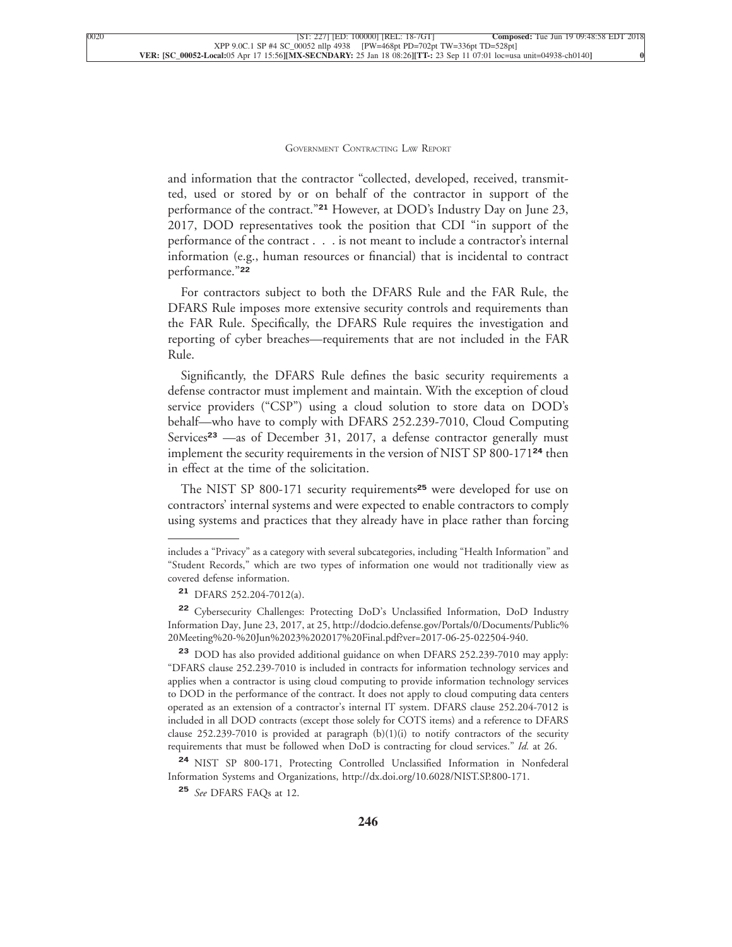and information that the contractor "collected, developed, received, transmitted, used or stored by or on behalf of the contractor in support of the performance of the contract."**<sup>21</sup>** However, at DOD's Industry Day on June 23, 2017, DOD representatives took the position that CDI "in support of the performance of the contract . . . is not meant to include a contractor's internal information (e.g., human resources or financial) that is incidental to contract [performance."](xpath-> core:para,  Default,  para-list,  style_01)**<sup>22</sup>**

[For contractors subject to both the DFARS Rule and the FAR Rule, the](xpath-> core:para,  Default,  para-list,  style_01) [DFARS Rule imposes more extensive security controls and requirements than](xpath-> core:para,  Default,  para-list,  style_01) [the FAR Rule. Specifically, the DFARS Rule requires the investigation and](xpath-> core:para,  Default,  para-list,  style_01) [reporting of cyber breaches—requirements that are not included in the FAR](xpath-> core:para,  Default,  para-list,  style_01) [Rule.](xpath-> core:para,  Default,  para-list,  style_01)

[Significantly, the DFARS Rule defines the basic security requirements a](xpath-> core:para,  Default,  para-list,  style_01) [defense contractor must implement and maintain. With the exception of cloud](xpath-> core:para,  Default,  para-list,  style_01) [service providers \("CSP"\) using a cloud solution to store data on DOD's](xpath-> core:para,  Default,  para-list,  style_01) [behalf—who have to comply with DFARS 252.239-7010, Cloud Computing](xpath-> core:para,  Default,  para-list,  style_01) Services**<sup>23</sup>** [—as of December 31, 2017, a defense contractor generally must](xpath-> core:para,  Default,  para-list,  style_01) [implement the security requirements in the version of NIST SP 800-171](xpath-> core:para,  Default,  para-list,  style_01)**<sup>24</sup>** then [in effect at the time of the solicitation.](xpath-> core:para,  Default,  para-list,  style_01)

[The NIST SP 800-171 security requirements](xpath-> core:para,  Default,  para-list,  style_01)**<sup>25</sup>** were developed for use on [contractors' internal systems and were expected to enable contractors to comply](xpath-> core:para,  Default,  para-list,  style_01) [using systems and practices that they already have in place rather than forcing](xpath-> core:para,  Default,  para-list,  style_01)

**<sup>22</sup>** [Cybersecurity Challenges: Protecting DoD's Unclassified Information, DoD Industry](xpath-> fn:para,  fn:footnote/fn:para,  footnote,  style_03) [Information Day, June 23, 2017, at 25,](xpath-> fn:para,  fn:footnote/fn:para,  footnote,  style_03) [http://dodcio.defense.gov/Portals/0/Documents/Public%](xpath-> core:url,  core:url,  endmatter,  style_01) [20Meeting%20-%20Jun%2023%202017%20Final.pdf?ver=2017-06-25-022504-940.](xpath-> core:url,  core:url,  endmatter,  style_01)

**<sup>23</sup>** [DOD has also provided additional guidance on when DFARS 252.239-7010 may apply:](xpath-> fn:para,  fn:footnote/fn:para,  footnote,  style_03) ["DFARS clause 252.239-7010 is included in contracts for information technology services and](xpath-> fn:para,  fn:footnote/fn:para,  footnote,  style_03) [applies when a contractor is using cloud computing to provide information technology services](xpath-> fn:para,  fn:footnote/fn:para,  footnote,  style_03) [to DOD in the performance of the contract. It does not apply to cloud computing data centers](xpath-> fn:para,  fn:footnote/fn:para,  footnote,  style_03) [operated as an extension of a contractor's internal IT system. DFARS clause 252.204-7012 is](xpath-> fn:para,  fn:footnote/fn:para,  footnote,  style_03) [included in all DOD contracts \(except those solely for COTS items\) and a reference to DFARS](xpath-> fn:para,  fn:footnote/fn:para,  footnote,  style_03) clause  $252.239$ -7010 is provided at paragraph  $(b)(1)(i)$  to notify contractors of the security [requirements that must be followed when DoD is contracting for cloud services."](xpath-> fn:para,  fn:footnote/fn:para,  footnote,  style_03) *Id.* at 26.

**<sup>24</sup>** [NIST SP 800-171, Protecting Controlled Unclassified Information in Nonfederal](xpath-> fn:para,  fn:footnote/fn:para,  footnote,  style_03) [Information Systems and Organizations,](xpath-> fn:para,  fn:footnote/fn:para,  footnote,  style_03) [http://dx.doi.org/10.6028/NIST.SP.800-171.](xpath-> core:url,  core:url,  endmatter,  style_01)

**<sup>25</sup>** *See* [DFARS FAQs at 12.](xpath-> fn:para,  fn:footnote/fn:para,  footnote,  style_03)

[includes a "Privacy" as a category with several subcategories, including "Health Information" and](xpath-> foots,  Default,  footnote,  style_03) ["Student Records," which are two types of information one would not traditionally view as](xpath-> foots,  Default,  footnote,  style_03) [covered defense information.](xpath-> foots,  Default,  footnote,  style_03)

**<sup>21</sup>** [DFARS 252.204-7012\(a\).](xpath-> fn:para,  fn:footnote/fn:para,  footnote,  style_03)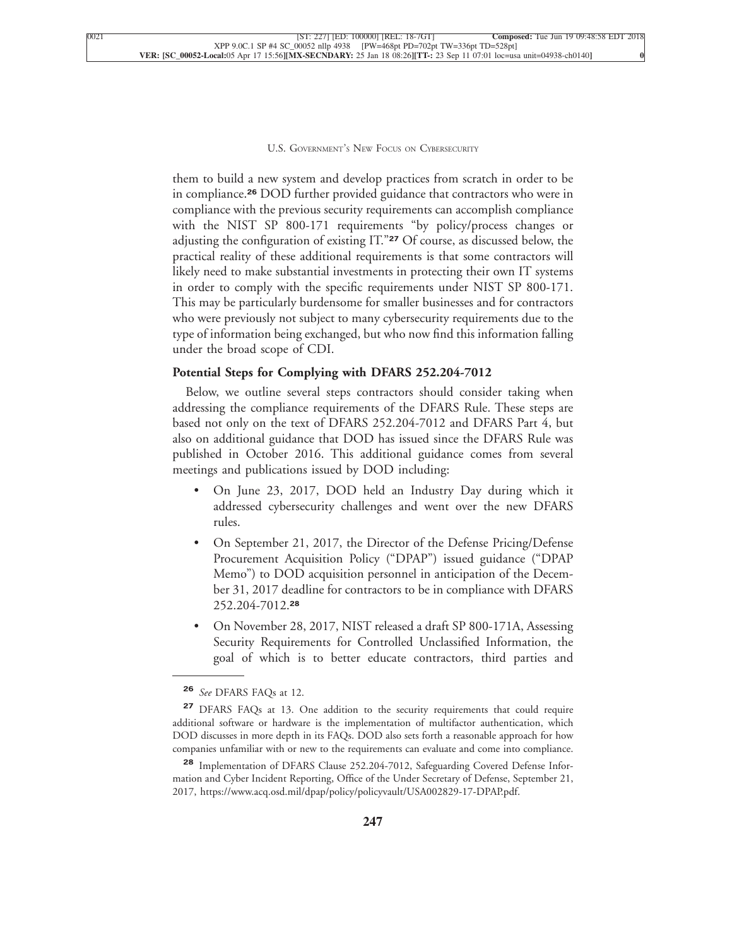them to build a new system and develop practices from scratch in order to be in compliance.**<sup>26</sup>** DOD further provided guidance that contractors who were in compliance with the previous security requirements can accomplish compliance with the NIST SP 800-171 requirements "by policy/process changes or adjusting the configuration of existing IT."**<sup>27</sup>** Of course, as discussed below, the practical reality of these additional requirements is that some contractors will likely need to make substantial investments in protecting their own IT systems in order to comply with the specific requirements under NIST SP 800-171. This may be particularly burdensome for smaller businesses and for contractors who were previously not subject to many cybersecurity requirements due to the type of information being exchanged, but who now find this information falling [under the broad scope of CDI.](xpath-> core:para,  Default,  para-list,  style_01)

#### **[Potential Steps for Complying with DFARS 252.204-7012](xpath-> core:generic-hd,  Default,  core_generic_hd,  style_01)**

[Below, we outline several steps contractors should consider taking when](xpath-> core:para,  Default,  para-list,  style_01) [addressing the compliance requirements of the DFARS Rule. These steps are](xpath-> core:para,  Default,  para-list,  style_01) [based not only on the text of DFARS 252.204-7012 and DFARS Part 4, but](xpath-> core:para,  Default,  para-list,  style_01) [also on additional guidance that DOD has issued since the DFARS Rule was](xpath-> core:para,  Default,  para-list,  style_01) [published in October 2016. This additional guidance comes from several](xpath-> core:para,  Default,  para-list,  style_01) [meetings and publications issued by DOD including:](xpath-> core:para,  Default,  para-list,  style_01)

- [•](xpath-> core:enum,  core:listitem/core:enum,  para-list,  style_01) [On June 23, 2017, DOD held an Industry Day during which it](xpath-> core:para,  core:listitem/core:para,  para-list,  style_01) [addressed cybersecurity challenges and went over the new DFARS](xpath-> core:para,  core:listitem/core:para,  para-list,  style_01) [rules.](xpath-> core:para,  core:listitem/core:para,  para-list,  style_01)
- [•](xpath-> core:enum,  core:listitem/core:enum,  para-list,  style_01) [On September 21, 2017, the Director of the Defense Pricing/Defense](xpath-> core:para,  core:listitem/core:para,  para-list,  style_01) [Procurement Acquisition Policy \("DPAP"\) issued guidance \("DPAP](xpath-> core:para,  core:listitem/core:para,  para-list,  style_01) [Memo"\) to DOD acquisition personnel in anticipation of the Decem](xpath-> core:para,  core:listitem/core:para,  para-list,  style_01)[ber 31, 2017 deadline for contractors to be in compliance with DFARS](xpath-> core:para,  core:listitem/core:para,  para-list,  style_01) [252.204-7012.](xpath-> core:para,  core:listitem/core:para,  para-list,  style_01)**<sup>28</sup>**
- [•](xpath-> core:enum,  core:listitem/core:enum,  para-list,  style_01) [On November 28, 2017, NIST released a draft SP 800-171A, Assessing](xpath-> core:para,  core:listitem/core:para,  para-list,  style_01) [Security Requirements for Controlled Unclassified Information, the](xpath-> core:para,  core:listitem/core:para,  para-list,  style_01) [goal of which is to better educate contractors, third parties and](xpath-> core:para,  core:listitem/core:para,  para-list,  style_01)

**<sup>26</sup>** *See* [DFARS FAQs at 12.](xpath-> fn:para,  fn:footnote/fn:para,  footnote,  style_03)

**<sup>27</sup>** [DFARS FAQs at 13. One addition to the security requirements that could require](xpath-> fn:para,  fn:footnote/fn:para,  footnote,  style_03) [additional software or hardware is the implementation of multifactor authentication, which](xpath-> fn:para,  fn:footnote/fn:para,  footnote,  style_03) [DOD discusses in more depth in its FAQs. DOD also sets forth a reasonable approach for how](xpath-> fn:para,  fn:footnote/fn:para,  footnote,  style_03) [companies unfamiliar with or new to the requirements can evaluate and come into compliance.](xpath-> fn:para,  fn:footnote/fn:para,  footnote,  style_03)

**<sup>28</sup>** [Implementation of DFARS Clause 252.204-7012, Safeguarding Covered Defense Infor](xpath-> fn:para,  fn:footnote/fn:para,  footnote,  style_03)[mation and Cyber Incident Reporting, Office of the Under Secretary of Defense, September 21,](xpath-> fn:para,  fn:footnote/fn:para,  footnote,  style_03) [2017,](xpath-> fn:para,  fn:footnote/fn:para,  footnote,  style_03) [https://www.acq.osd.mil/dpap/policy/policyvault/USA002829-17-DPAP.pdf.](xpath-> core:url,  core:url,  endmatter,  style_01)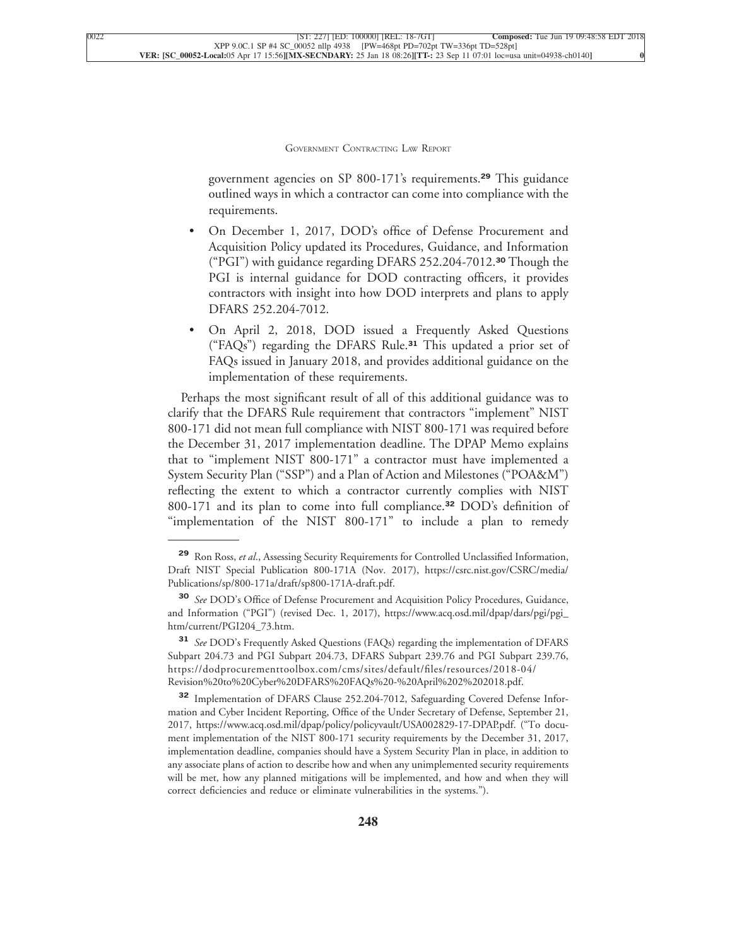government agencies on SP 800-171's requirements.**<sup>29</sup>** This guidance outlined ways in which a contractor can come into compliance with the [requirements.](xpath-> core:para,  core:listitem/core:para,  para-list,  style_01)

- [•](xpath-> core:enum,  core:listitem/core:enum,  para-list,  style_01) [On December 1, 2017, DOD's office of Defense Procurement and](xpath-> core:para,  core:listitem/core:para,  para-list,  style_01) [Acquisition Policy updated its Procedures, Guidance, and Information](xpath-> core:para,  core:listitem/core:para,  para-list,  style_01) [\("PGI"\) with guidance regarding DFARS 252.204-7012.](xpath-> core:para,  core:listitem/core:para,  para-list,  style_01)**<sup>30</sup>** Though the [PGI is internal guidance for DOD contracting officers, it provides](xpath-> core:para,  core:listitem/core:para,  para-list,  style_01) [contractors with insight into how DOD interprets and plans to apply](xpath-> core:para,  core:listitem/core:para,  para-list,  style_01) [DFARS 252.204-7012.](xpath-> core:para,  core:listitem/core:para,  para-list,  style_01)
- [•](xpath-> core:enum,  core:listitem/core:enum,  para-list,  style_01) [On April 2, 2018, DOD issued a Frequently Asked Questions](xpath-> core:para,  core:listitem/core:para,  para-list,  style_01) [\("FAQs"\) regarding the DFARS Rule.](xpath-> core:para,  core:listitem/core:para,  para-list,  style_01)**<sup>31</sup>** This updated a prior set of [FAQs issued in January 2018, and provides additional guidance on the](xpath-> core:para,  core:listitem/core:para,  para-list,  style_01) [implementation of these requirements.](xpath-> core:para,  core:listitem/core:para,  para-list,  style_01)

[Perhaps the most significant result of all of this additional guidance was to](xpath-> core:para,  Default,  para-list,  style_01) [clarify that the DFARS Rule requirement that contractors "implement" NIST](xpath-> core:para,  Default,  para-list,  style_01) [800-171 did not mean full compliance with NIST 800-171 was required before](xpath-> core:para,  Default,  para-list,  style_01) [the December 31, 2017 implementation deadline. The DPAP Memo explains](xpath-> core:para,  Default,  para-list,  style_01) [that to "implement NIST 800-171" a contractor must have implemented a](xpath-> core:para,  Default,  para-list,  style_01) [System Security Plan \("SSP"\) and a Plan of Action and Milestones \("POA&M"\)](xpath-> core:para,  Default,  para-list,  style_01) [reflecting the extent to which a contractor currently complies with NIST](xpath-> core:para,  Default,  para-list,  style_01) [800-171 and its plan to come into full compliance.](xpath-> core:para,  Default,  para-list,  style_01)**<sup>32</sup>** DOD's definition of ["implementation of the NIST 800-171" to include a plan to remedy](xpath-> core:para,  Default,  para-list,  style_01)

**<sup>32</sup>** [Implementation of DFARS Clause 252.204-7012, Safeguarding Covered Defense Infor](xpath-> fn:para,  fn:footnote/fn:para,  footnote,  style_03)[mation and Cyber Incident Reporting, Office of the Under Secretary of Defense, September 21,](xpath-> fn:para,  fn:footnote/fn:para,  footnote,  style_03) [2017,](xpath-> fn:para,  fn:footnote/fn:para,  footnote,  style_03) [https://www.acq.osd.mil/dpap/policy/policyvault/USA002829-17-DPAP.pdf.](xpath-> core:url,  core:url,  endmatter,  style_01) ("To document implementation of the NIST 800-171 security requirements by the December 31, 2017, implementation deadline, companies should have a System Security Plan in place, in addition to any associate plans of action to describe how and when any unimplemented security requirements will be met, how any planned mitigations will be implemented, and how and when they will correct deficiencies and reduce or eliminate vulnerabilities in the systems.").

**<sup>29</sup>** Ron Ross, *et al*[., Assessing Security Requirements for Controlled Unclassified Information,](xpath-> fn:para,  fn:footnote/fn:para,  footnote,  style_03) [Draft NIST Special Publication 800-171A \(Nov. 2017\),](xpath-> fn:para,  fn:footnote/fn:para,  footnote,  style_03) [https://csrc.nist.gov/CSRC/media/](xpath-> core:url,  core:url,  endmatter,  style_01) [Publications/sp/800-171a/draft/sp800-171A-draft.pdf.](xpath-> core:url,  core:url,  endmatter,  style_01)

**<sup>30</sup>** *See* [DOD's Office of Defense Procurement and Acquisition Policy Procedures, Guidance,](xpath-> fn:para,  fn:footnote/fn:para,  footnote,  style_03) [and Information \("PGI"\) \(revised Dec. 1, 2017\),](xpath-> fn:para,  fn:footnote/fn:para,  footnote,  style_03) [https://www.acq.osd.mil/dpap/dars/pgi/pgi\\_](xpath-> core:url,  core:url,  endmatter,  style_01) [htm/current/PGI204\\_73.htm.](xpath-> core:url,  core:url,  endmatter,  style_01)

**<sup>31</sup>** *See* [DOD's Frequently Asked Questions \(FAQs\) regarding the implementation of DFARS](xpath-> fn:para,  fn:footnote/fn:para,  footnote,  style_03) [Subpart 204.73 and PGI Subpart 204.73, DFARS Subpart 239.76 and PGI Subpart 239.76,](xpath-> fn:para,  fn:footnote/fn:para,  footnote,  style_03) [https://dodprocurementtoolbox.com/cms/sites/default/files/resources/2018-04/](xpath-> fn:para,  fn:footnote/fn:para,  footnote,  style_03) [Revision%20to%20Cyber%20DFARS%20FAQs%20-%20April%202%202018.pdf.](xpath-> fn:para,  fn:footnote/fn:para,  footnote,  style_03)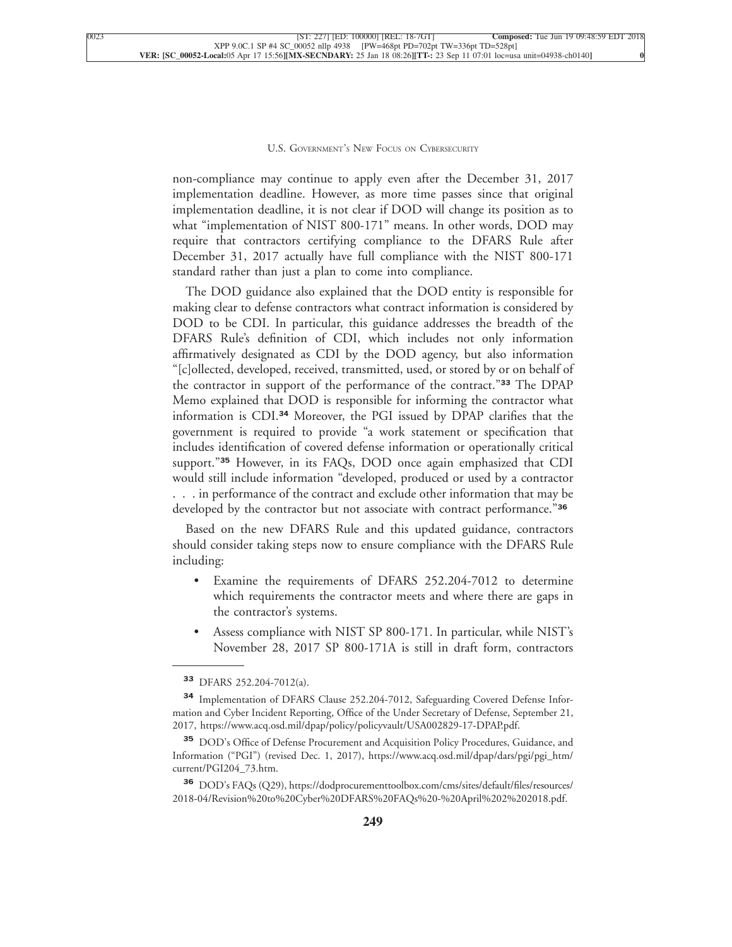non-compliance may continue to apply even after the December 31, 2017 implementation deadline. However, as more time passes since that original implementation deadline, it is not clear if DOD will change its position as to what "implementation of NIST 800-171" means. In other words, DOD may require that contractors certifying compliance to the DFARS Rule after December 31, 2017 actually have full compliance with the NIST 800-171 [standard rather than just a plan to come into compliance.](xpath-> core:para,  Default,  para-list,  style_01)

[The DOD guidance also explained that the DOD entity is responsible for](xpath-> core:para,  Default,  para-list,  style_01) [making clear to defense contractors what contract information is considered by](xpath-> core:para,  Default,  para-list,  style_01) [DOD to be CDI. In particular, this guidance addresses the breadth of the](xpath-> core:para,  Default,  para-list,  style_01) [DFARS Rule's definition of CDI, which includes not only information](xpath-> core:para,  Default,  para-list,  style_01) [affirmatively designated as CDI by the DOD agency, but also information](xpath-> core:para,  Default,  para-list,  style_01) ["\[c\]ollected, developed, received, transmitted, used, or stored by or on behalf of](xpath-> core:para,  Default,  para-list,  style_01) [the contractor in support of the performance of the contract."](xpath-> core:para,  Default,  para-list,  style_01)**<sup>33</sup>** The DPAP [Memo explained that DOD is responsible for informing the contractor what](xpath-> core:para,  Default,  para-list,  style_01) information is CDI.**<sup>34</sup>** [Moreover, the PGI issued by DPAP clarifies that the](xpath-> core:para,  Default,  para-list,  style_01) [government is required to provide "a work statement or specification that](xpath-> core:para,  Default,  para-list,  style_01) [includes identification of covered defense information or operationally critical](xpath-> core:para,  Default,  para-list,  style_01) support."**<sup>35</sup>** [However, in its FAQs, DOD once again emphasized that CDI](xpath-> core:para,  Default,  para-list,  style_01) [would still include information "developed, produced or used by a contractor](xpath-> core:para,  Default,  para-list,  style_01) [. . . in performance of the contract and exclude other information that may be](xpath-> core:para,  Default,  para-list,  style_01) [developed by the contractor but not associate with contract performance."](xpath-> core:para,  Default,  para-list,  style_01)**<sup>36</sup>**

[Based on the new DFARS Rule and this updated guidance, contractors](xpath-> core:para,  Default,  para-list,  style_01) [should consider taking steps now to ensure compliance with the DFARS Rule](xpath-> core:para,  Default,  para-list,  style_01) [including:](xpath-> core:para,  Default,  para-list,  style_01)

- [•](xpath-> core:enum,  core:listitem/core:enum,  para-list,  style_01) [Examine the requirements of DFARS 252.204-7012 to determine](xpath-> core:para,  core:listitem/core:para,  para-list,  style_01) [which requirements the contractor meets and where there are gaps in](xpath-> core:para,  core:listitem/core:para,  para-list,  style_01) [the contractor's systems.](xpath-> core:para,  core:listitem/core:para,  para-list,  style_01)
- [•](xpath-> core:enum,  core:listitem/core:enum,  para-list,  style_01) [Assess compliance with NIST SP 800-171. In particular, while NIST's](xpath-> core:para,  core:listitem/core:para,  para-list,  style_01) [November 28, 2017 SP 800-171A is still in draft form, contractors](xpath-> core:para,  core:listitem/core:para,  para-list,  style_01)

**<sup>33</sup>** [DFARS 252.204-7012\(a\).](xpath-> fn:para,  fn:footnote/fn:para,  footnote,  style_03)

**<sup>34</sup>** [Implementation of DFARS Clause 252.204-7012, Safeguarding Covered Defense Infor](xpath-> fn:para,  fn:footnote/fn:para,  footnote,  style_03)[mation and Cyber Incident Reporting, Office of the Under Secretary of Defense, September 21,](xpath-> fn:para,  fn:footnote/fn:para,  footnote,  style_03) [2017,](xpath-> fn:para,  fn:footnote/fn:para,  footnote,  style_03) [https://www.acq.osd.mil/dpap/policy/policyvault/USA002829-17-DPAP.pdf.](xpath-> core:url,  core:url,  endmatter,  style_01)

**<sup>35</sup>** [DOD's Office of Defense Procurement and Acquisition Policy Procedures, Guidance, and](xpath-> fn:para,  fn:footnote/fn:para,  footnote,  style_03) [Information \("PGI"\) \(revised Dec. 1, 2017\),](xpath-> fn:para,  fn:footnote/fn:para,  footnote,  style_03) [https://www.acq.osd.mil/dpap/dars/pgi/pgi\\_htm/](xpath-> core:url,  core:url,  endmatter,  style_01) [current/PGI204\\_73.htm.](xpath-> core:url,  core:url,  endmatter,  style_01)

**<sup>36</sup>** [DOD's FAQs \(Q29\), https://dodprocurementtoolbox.com/cms/sites/default/files/resources/](xpath-> fn:para,  fn:footnote/fn:para,  footnote,  style_03) [2018-04/Revision%20to%20Cyber%20DFARS%20FAQs%20-%20April%202%202018.pdf.](xpath-> fn:para,  fn:footnote/fn:para,  footnote,  style_03)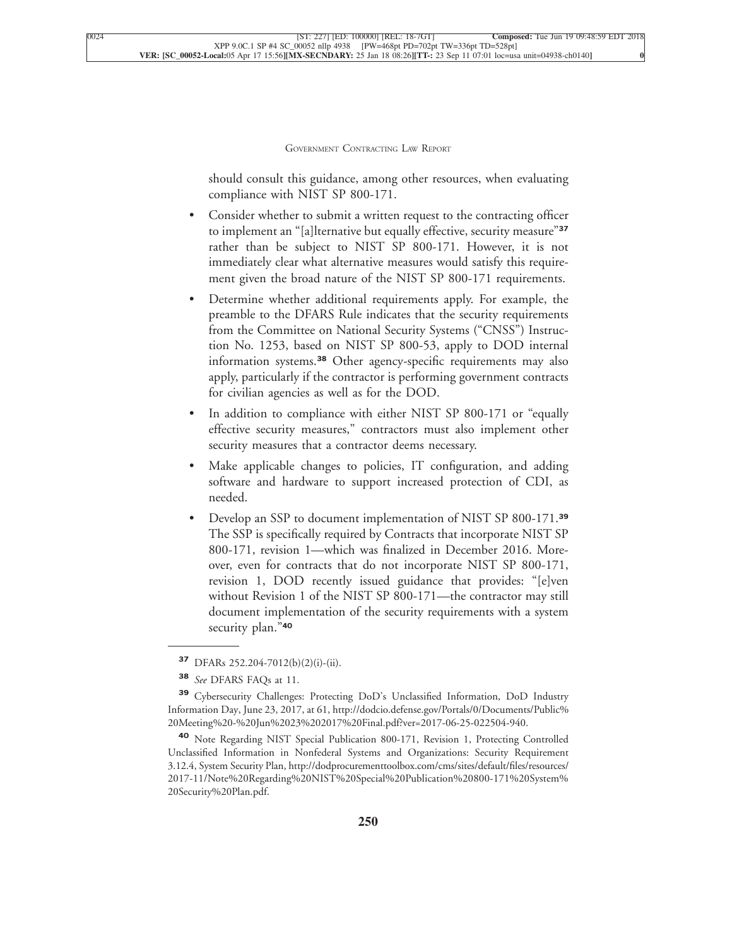should consult this guidance, among other resources, when evaluating [compliance with NIST SP 800-171.](xpath-> core:para,  core:listitem/core:para,  para-list,  style_01)

- Consider whether to submit a written request to the contracting officer [to implement an "\[a\]lternative but equally effective, security measure"](xpath-> core:para,  core:listitem/core:para,  para-list,  style_01)**<sup>37</sup>** [rather than be subject to NIST SP 800-171. However, it is not](xpath-> core:para,  core:listitem/core:para,  para-list,  style_01) [immediately clear what alternative measures would satisfy this require](xpath-> core:para,  core:listitem/core:para,  para-list,  style_01)[ment given the broad nature of the NIST SP 800-171 requirements.](xpath-> core:para,  core:listitem/core:para,  para-list,  style_01)
- [•](xpath-> core:enum,  core:listitem/core:enum,  para-list,  style_01) [Determine whether additional requirements apply. For example, the](xpath-> core:para,  core:listitem/core:para,  para-list,  style_01) [preamble to the DFARS Rule indicates that the security requirements](xpath-> core:para,  core:listitem/core:para,  para-list,  style_01) [from the Committee on National Security Systems \("CNSS"\) Instruc](xpath-> core:para,  core:listitem/core:para,  para-list,  style_01)[tion No. 1253, based on NIST SP 800-53, apply to DOD internal](xpath-> core:para,  core:listitem/core:para,  para-list,  style_01) information systems.**<sup>38</sup>** [Other agency-specific requirements may also](xpath-> core:para,  core:listitem/core:para,  para-list,  style_01) [apply, particularly if the contractor is performing government contracts](xpath-> core:para,  core:listitem/core:para,  para-list,  style_01) [for civilian agencies as well as for the DOD.](xpath-> core:para,  core:listitem/core:para,  para-list,  style_01)
- In addition to compliance with either NIST SP 800-171 or "equally [effective security measures," contractors must also implement other](xpath-> core:para,  core:listitem/core:para,  para-list,  style_01) [security measures that a contractor deems necessary.](xpath-> core:para,  core:listitem/core:para,  para-list,  style_01)
- Make applicable changes to policies, IT configuration, and adding [software and hardware to support increased protection of CDI, as](xpath-> core:para,  core:listitem/core:para,  para-list,  style_01) [needed.](xpath-> core:para,  core:listitem/core:para,  para-list,  style_01)
- [•](xpath-> core:enum,  core:listitem/core:enum,  para-list,  style_01) [Develop an SSP to document implementation of NIST SP 800-171.](xpath-> core:para,  core:listitem/core:para,  para-list,  style_01)**<sup>39</sup>** [The SSP is specifically required by Contracts that incorporate NIST SP](xpath-> core:para,  core:listitem/core:para,  para-list,  style_01) [800-171, revision 1—which was finalized in December 2016. More](xpath-> core:para,  core:listitem/core:para,  para-list,  style_01)[over, even for contracts that do not incorporate NIST SP 800-171,](xpath-> core:para,  core:listitem/core:para,  para-list,  style_01) [revision 1, DOD recently issued guidance that provides: "\[e\]ven](xpath-> core:para,  core:listitem/core:para,  para-list,  style_01) [without Revision 1 of the NIST SP 800-171—the contractor may still](xpath-> core:para,  core:listitem/core:para,  para-list,  style_01) [document implementation of the security requirements with a system](xpath-> core:para,  core:listitem/core:para,  para-list,  style_01) [security plan."](xpath-> core:para,  core:listitem/core:para,  para-list,  style_01)**<sup>40</sup>**

**<sup>37</sup>** [DFARs 252.204-7012\(b\)\(2\)\(i\)-\(ii\).](xpath-> fn:para,  fn:footnote/fn:para,  footnote,  style_03)

**<sup>38</sup>** *See* [DFARS FAQs at 11.](xpath-> fn:para,  fn:footnote/fn:para,  footnote,  style_03)

**<sup>39</sup>** [Cybersecurity Challenges: Protecting DoD's Unclassified Information, DoD Industry](xpath-> fn:para,  fn:footnote/fn:para,  footnote,  style_03) [Information Day, June 23, 2017, at 61,](xpath-> fn:para,  fn:footnote/fn:para,  footnote,  style_03) [http://dodcio.defense.gov/Portals/0/Documents/Public%](xpath-> core:url,  core:url,  endmatter,  style_01) [20Meeting%20-%20Jun%2023%202017%20Final.pdf?ver=2017-06-25-022504-940.](xpath-> core:url,  core:url,  endmatter,  style_01)

**<sup>40</sup>** [Note Regarding NIST Special Publication 800-171, Revision 1, Protecting Controlled](xpath-> fn:para,  fn:footnote/fn:para,  footnote,  style_03) [Unclassified Information in Nonfederal Systems and Organizations: Security Requirement](xpath-> fn:para,  fn:footnote/fn:para,  footnote,  style_03) [3.12.4, System Security Plan,](xpath-> fn:para,  fn:footnote/fn:para,  footnote,  style_03) [http://dodprocurementtoolbox.com/cms/sites/default/files/resources/](xpath-> core:url,  core:url,  endmatter,  style_01) [2017-11/Note%20Regarding%20NIST%20Special%20Publication%20800-171%20System%](xpath-> core:url,  core:url,  endmatter,  style_01) [20Security%20Plan.pdf.](xpath-> core:url,  core:url,  endmatter,  style_01)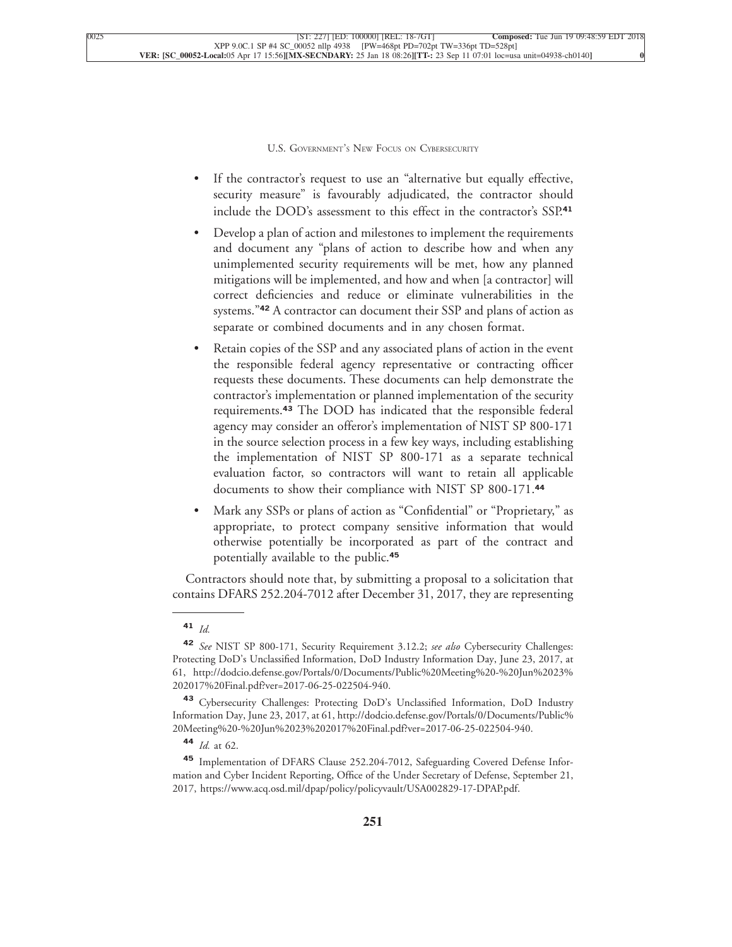- [•](xpath-> core:enum,  core:listitem/core:enum,  para-list,  style_01) [If the contractor's request to use an "alternative but equally effective,](xpath-> core:para,  core:listitem/core:para,  para-list,  style_01) [security measure" is favourably adjudicated, the contractor should](xpath-> core:para,  core:listitem/core:para,  para-list,  style_01) [include the DOD's assessment to this effect in the contractor's SSP.](xpath-> core:para,  core:listitem/core:para,  para-list,  style_01)**<sup>41</sup>**
- [•](xpath-> core:enum,  core:listitem/core:enum,  para-list,  style_01) [Develop a plan of action and milestones to implement the requirements](xpath-> core:para,  core:listitem/core:para,  para-list,  style_01) [and document any "plans of action to describe how and when any](xpath-> core:para,  core:listitem/core:para,  para-list,  style_01) [unimplemented security requirements will be met, how any planned](xpath-> core:para,  core:listitem/core:para,  para-list,  style_01) [mitigations will be implemented, and how and when \[a contractor\] will](xpath-> core:para,  core:listitem/core:para,  para-list,  style_01) [correct deficiencies and reduce or eliminate vulnerabilities in the](xpath-> core:para,  core:listitem/core:para,  para-list,  style_01) systems."**<sup>42</sup>** [A contractor can document their SSP and plans of action as](xpath-> core:para,  core:listitem/core:para,  para-list,  style_01) [separate or combined documents and in any chosen format.](xpath-> core:para,  core:listitem/core:para,  para-list,  style_01)
- Retain copies of the SSP and any associated plans of action in the event [the responsible federal agency representative or contracting officer](xpath-> core:para,  core:listitem/core:para,  para-list,  style_01) [requests these documents. These documents can help demonstrate the](xpath-> core:para,  core:listitem/core:para,  para-list,  style_01) [contractor's implementation or planned implementation of the security](xpath-> core:para,  core:listitem/core:para,  para-list,  style_01) requirements.**<sup>43</sup>** [The DOD has indicated that the responsible federal](xpath-> core:para,  core:listitem/core:para,  para-list,  style_01) [agency may consider an offeror's implementation of NIST SP 800-171](xpath-> core:para,  core:listitem/core:para,  para-list,  style_01) [in the source selection process in a few key ways, including establishing](xpath-> core:para,  core:listitem/core:para,  para-list,  style_01) [the implementation of NIST SP 800-171 as a separate technical](xpath-> core:para,  core:listitem/core:para,  para-list,  style_01) [evaluation factor, so contractors will want to retain all applicable](xpath-> core:para,  core:listitem/core:para,  para-list,  style_01) [documents to show their compliance with NIST SP 800-171.](xpath-> core:para,  core:listitem/core:para,  para-list,  style_01)**<sup>44</sup>**
- [•](xpath-> core:enum,  core:listitem/core:enum,  para-list,  style_01) [Mark any SSPs or plans of action as "Confidential" or "Proprietary," as](xpath-> core:para,  core:listitem/core:para,  para-list,  style_01) [appropriate, to protect company sensitive information that would](xpath-> core:para,  core:listitem/core:para,  para-list,  style_01) [otherwise potentially be incorporated as part of the contract and](xpath-> core:para,  core:listitem/core:para,  para-list,  style_01) [potentially available to the public.](xpath-> core:para,  core:listitem/core:para,  para-list,  style_01)**<sup>45</sup>**

[Contractors should note that, by submitting a proposal to a solicitation that](xpath-> core:para,  Default,  para-list,  style_01) [contains DFARS 252.204-7012 after December 31, 2017, they are representing](xpath-> core:para,  Default,  para-list,  style_01)

**<sup>43</sup>** [Cybersecurity Challenges: Protecting DoD's Unclassified Information, DoD Industry](xpath-> fn:para,  fn:footnote/fn:para,  footnote,  style_03) [Information Day, June 23, 2017, at 61,](xpath-> fn:para,  fn:footnote/fn:para,  footnote,  style_03) [http://dodcio.defense.gov/Portals/0/Documents/Public%](xpath-> core:url,  core:url,  endmatter,  style_01) [20Meeting%20-%20Jun%2023%202017%20Final.pdf?ver=2017-06-25-022504-940.](xpath-> core:url,  core:url,  endmatter,  style_01)

**<sup>45</sup>** [Implementation of DFARS Clause 252.204-7012, Safeguarding Covered Defense Infor](xpath-> fn:para,  fn:footnote/fn:para,  footnote,  style_03)[mation and Cyber Incident Reporting, Office of the Under Secretary of Defense, September 21,](xpath-> fn:para,  fn:footnote/fn:para,  footnote,  style_03) [2017,](xpath-> fn:para,  fn:footnote/fn:para,  footnote,  style_03) [https://www.acq.osd.mil/dpap/policy/policyvault/USA002829-17-DPAP.pdf.](xpath-> core:url,  core:url,  endmatter,  style_01)

**<sup>41</sup>** *[Id.](xpath-> fn:para,  fn:footnote/fn:para,  footnote,  style_03)*

**<sup>42</sup>** *See* [NIST SP 800-171, Security Requirement 3.12.2;](xpath-> fn:para,  fn:footnote/fn:para,  footnote,  style_03) *see also* Cybersecurity Challenges: [Protecting DoD's Unclassified Information, DoD Industry Information Day, June 23, 2017, at](xpath-> fn:para,  fn:footnote/fn:para,  footnote,  style_03) [61,](xpath-> fn:para,  fn:footnote/fn:para,  footnote,  style_03) [http://dodcio.defense.gov/Portals/0/Documents/Public%20Meeting%20-%20Jun%2023%](xpath-> core:url,  core:url,  endmatter,  style_01) [202017%20Final.pdf?ver=2017-06-25-022504-940.](xpath-> core:url,  core:url,  endmatter,  style_01)

**<sup>44</sup>** *Id.* [at 62.](xpath-> fn:para,  fn:footnote/fn:para,  footnote,  style_03)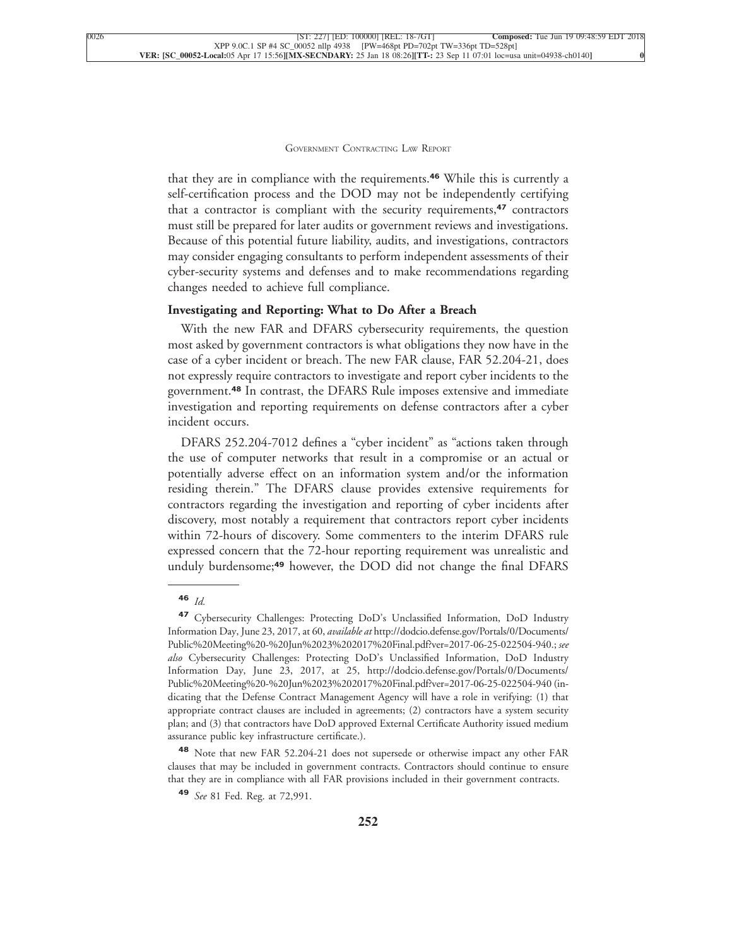that they are in compliance with the requirements.**<sup>46</sup>** While this is currently a self-certification process and the DOD may not be independently certifying that a contractor is compliant with the security requirements,**<sup>47</sup>** contractors must still be prepared for later audits or government reviews and investigations. Because of this potential future liability, audits, and investigations, contractors may consider engaging consultants to perform independent assessments of their cyber-security systems and defenses and to make recommendations regarding [changes needed to achieve full compliance.](xpath-> core:para,  Default,  para-list,  style_01)

#### **[Investigating and Reporting: What to Do After a Breach](xpath-> core:generic-hd,  Default,  core_generic_hd,  style_01)**

[With the new FAR and DFARS cybersecurity requirements, the question](xpath-> core:para,  Default,  para-list,  style_01) [most asked by government contractors is what obligations they now have in the](xpath-> core:para,  Default,  para-list,  style_01) [case of a cyber incident or breach. The new FAR clause, FAR 52.204-21, does](xpath-> core:para,  Default,  para-list,  style_01) [not expressly require contractors to investigate and report cyber incidents to the](xpath-> core:para,  Default,  para-list,  style_01) government.**<sup>48</sup>** [In contrast, the DFARS Rule imposes extensive and immediate](xpath-> core:para,  Default,  para-list,  style_01) [investigation and reporting requirements on defense contractors after a cyber](xpath-> core:para,  Default,  para-list,  style_01) [incident occurs.](xpath-> core:para,  Default,  para-list,  style_01)

[DFARS 252.204-7012 defines a "cyber incident" as "actions taken through](xpath-> core:para,  Default,  para-list,  style_01) [the use of computer networks that result in a compromise or an actual or](xpath-> core:para,  Default,  para-list,  style_01) [potentially adverse effect on an information system and/or the information](xpath-> core:para,  Default,  para-list,  style_01) [residing therein." The DFARS clause provides extensive requirements for](xpath-> core:para,  Default,  para-list,  style_01) [contractors regarding the investigation and reporting of cyber incidents after](xpath-> core:para,  Default,  para-list,  style_01) [discovery, most notably a requirement that contractors report cyber incidents](xpath-> core:para,  Default,  para-list,  style_01) [within 72-hours of discovery. Some commenters to the interim DFARS rule](xpath-> core:para,  Default,  para-list,  style_01) [expressed concern that the 72-hour reporting requirement was unrealistic and](xpath-> core:para,  Default,  para-list,  style_01) unduly burdensome;**<sup>49</sup>** [however, the DOD did not change the final DFARS](xpath-> core:para,  Default,  para-list,  style_01)

**<sup>48</sup>** [Note that new FAR 52.204-21 does not supersede or otherwise impact any other FAR](xpath-> fn:para,  fn:footnote/fn:para,  footnote,  style_03) [clauses that may be included in government contracts. Contractors should continue to ensure](xpath-> fn:para,  fn:footnote/fn:para,  footnote,  style_03) [that they are in compliance with all FAR provisions included in their government contracts.](xpath-> fn:para,  fn:footnote/fn:para,  footnote,  style_03)

**<sup>46</sup>** *[Id.](xpath-> fn:para,  fn:footnote/fn:para,  footnote,  style_03)*

**<sup>47</sup>** [Cybersecurity Challenges: Protecting DoD's Unclassified Information, DoD Industry](xpath-> fn:para,  fn:footnote/fn:para,  footnote,  style_03) [Information Day, June 23, 2017, at 60,](xpath-> fn:para,  fn:footnote/fn:para,  footnote,  style_03) *available at* [http://dodcio.defense.gov/Portals/0/Documents/](xpath-> core:url,  core:url,  endmatter,  style_01) [Public%20Meeting%20-%20Jun%2023%202017%20Final.pdf?ver=2017-06-25-022504-940.](xpath-> core:url,  core:url,  endmatter,  style_01); *see also* Cybersecurity Challenges: Protecting DoD's Unclassified Information, DoD Industry Information Day, June 23, 2017, at 25, [http://dodcio.defense.gov/Portals/0/Documents/](xpath-> core:url,  core:url,  endmatter,  style_01) [Public%20Meeting%20-%20Jun%2023%202017%20Final.pdf?ver=2017-06-25-022504-940](xpath-> core:url,  core:url,  endmatter,  style_01) (indicating that the Defense Contract Management Agency will have a role in verifying: (1) that appropriate contract clauses are included in agreements; (2) contractors have a system security plan; and (3) that contractors have DoD approved External Certificate Authority issued medium assurance public key infrastructure certificate.).

**<sup>49</sup>** *See* [81 Fed. Reg. at 72,991.](xpath-> fn:para,  fn:footnote/fn:para,  footnote,  style_03)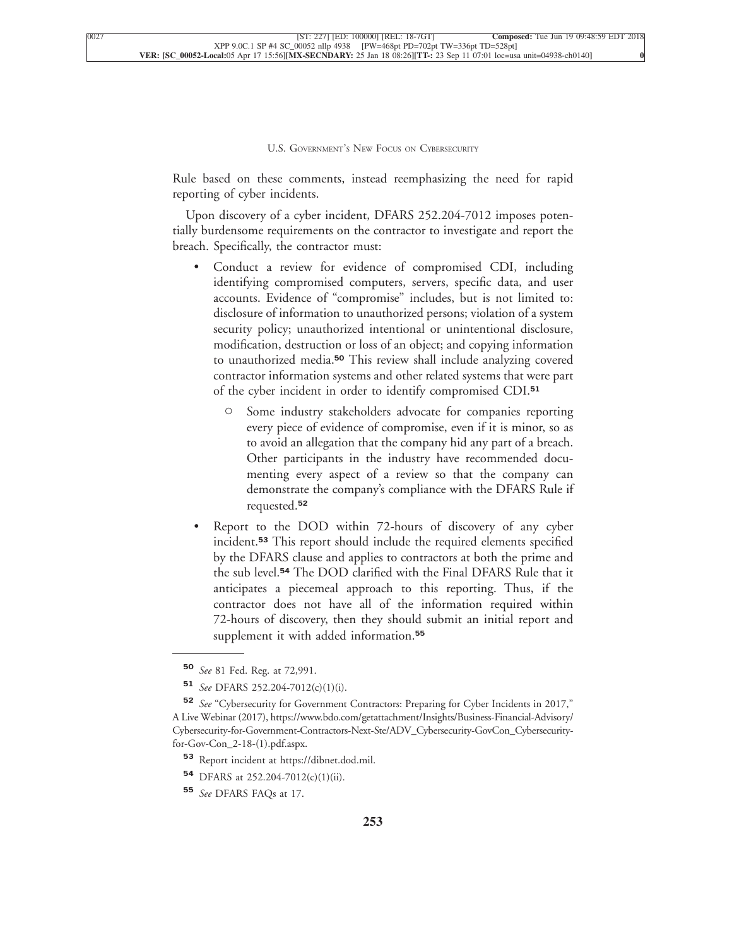Rule based on these comments, instead reemphasizing the need for rapid [reporting of cyber incidents.](xpath-> core:para,  Default,  para-list,  style_01)

[Upon discovery of a cyber incident, DFARS 252.204-7012 imposes poten](xpath-> core:para,  Default,  para-list,  style_01)[tially burdensome requirements on the contractor to investigate and report the](xpath-> core:para,  Default,  para-list,  style_01) [breach. Specifically, the contractor must:](xpath-> core:para,  Default,  para-list,  style_01)

- [•](xpath-> core:enum,  core:listitem/core:enum,  para-list,  style_01) [Conduct a review for evidence of compromised CDI, including](xpath-> core:para,  core:listitem/core:para,  para-list,  style_01) [identifying compromised computers, servers, specific data, and user](xpath-> core:para,  core:listitem/core:para,  para-list,  style_01) [accounts. Evidence of "compromise" includes, but is not limited to:](xpath-> core:para,  core:listitem/core:para,  para-list,  style_01) [disclosure of information to unauthorized persons; violation of a system](xpath-> core:para,  core:listitem/core:para,  para-list,  style_01) [security policy; unauthorized intentional or unintentional disclosure,](xpath-> core:para,  core:listitem/core:para,  para-list,  style_01) [modification, destruction or loss of an object; and copying information](xpath-> core:para,  core:listitem/core:para,  para-list,  style_01) to unauthorized media.**<sup>50</sup>** [This review shall include analyzing covered](xpath-> core:para,  core:listitem/core:para,  para-list,  style_01) [contractor information systems and other related systems that were part](xpath-> core:para,  core:listitem/core:para,  para-list,  style_01) [of the cyber incident in order to identify compromised CDI.](xpath-> core:para,  core:listitem/core:para,  para-list,  style_01)**<sup>51</sup>**
	- [Some industry stakeholders advocate for companies reporting](xpath-> core:para,  core:listitem/core:para,  para-list,  style_01) [every piece of evidence of compromise, even if it is minor, so as](xpath-> core:para,  core:listitem/core:para,  para-list,  style_01) [to avoid an allegation that the company hid any part of a breach.](xpath-> core:para,  core:listitem/core:para,  para-list,  style_01) [Other participants in the industry have recommended docu](xpath-> core:para,  core:listitem/core:para,  para-list,  style_01)[menting every aspect of a review so that the company can](xpath-> core:para,  core:listitem/core:para,  para-list,  style_01) [demonstrate the company's compliance with the DFARS Rule if](xpath-> core:para,  core:listitem/core:para,  para-list,  style_01) [requested.](xpath-> core:para,  core:listitem/core:para,  para-list,  style_01)**<sup>52</sup>**
- [•](xpath-> core:enum,  core:listitem/core:enum,  para-list,  style_01) [Report to the DOD within 72-hours of discovery of any cyber](xpath-> core:para,  core:listitem/core:para,  para-list,  style_01) incident.**<sup>53</sup>** [This report should include the required elements specified](xpath-> core:para,  core:listitem/core:para,  para-list,  style_01) [by the DFARS clause and applies to contractors at both the prime and](xpath-> core:para,  core:listitem/core:para,  para-list,  style_01) the sub level.**<sup>54</sup>** [The DOD clarified with the Final DFARS Rule that it](xpath-> core:para,  core:listitem/core:para,  para-list,  style_01) [anticipates a piecemeal approach to this reporting. Thus, if the](xpath-> core:para,  core:listitem/core:para,  para-list,  style_01) [contractor does not have all of the information required within](xpath-> core:para,  core:listitem/core:para,  para-list,  style_01) [72-hours of discovery, then they should submit an initial report and](xpath-> core:para,  core:listitem/core:para,  para-list,  style_01) [supplement it with added information.](xpath-> core:para,  core:listitem/core:para,  para-list,  style_01)**<sup>55</sup>**

**<sup>54</sup>** [DFARS at 252.204-7012\(c\)\(1\)\(ii\).](xpath-> fn:para,  fn:footnote/fn:para,  footnote,  style_03)

**<sup>50</sup>** *See* [81 Fed. Reg. at 72,991.](xpath-> fn:para,  fn:footnote/fn:para,  footnote,  style_03)

**<sup>51</sup>** *See* [DFARS 252.204-7012\(c\)\(1\)\(i\).](xpath-> fn:para,  fn:footnote/fn:para,  footnote,  style_03)

**<sup>52</sup>** *See* ["Cybersecurity for Government Contractors: Preparing for Cyber Incidents in 2017,"](xpath-> fn:para,  fn:footnote/fn:para,  footnote,  style_03) [A Live Webinar \(2017\),](xpath-> fn:para,  fn:footnote/fn:para,  footnote,  style_03) [https://www.bdo.com/getattachment/Insights/Business-Financial-Advisory/](xpath-> core:url,  core:url,  endmatter,  style_01) [Cybersecurity-for-Government-Contractors-Next-Ste/ADV\\_Cybersecurity-GovCon\\_Cybersecurity](xpath-> core:url,  core:url,  endmatter,  style_01)[for-Gov-Con\\_2-18-\(1\).pdf.aspx.](xpath-> core:url,  core:url,  endmatter,  style_01)

**<sup>53</sup>** [Report incident at](xpath-> fn:para,  fn:footnote/fn:para,  footnote,  style_03) [https://dibnet.dod.mil.](xpath-> core:url,  core:url,  endmatter,  style_01)

**<sup>55</sup>** *See* [DFARS FAQs at 17.](xpath-> fn:para,  fn:footnote/fn:para,  footnote,  style_03)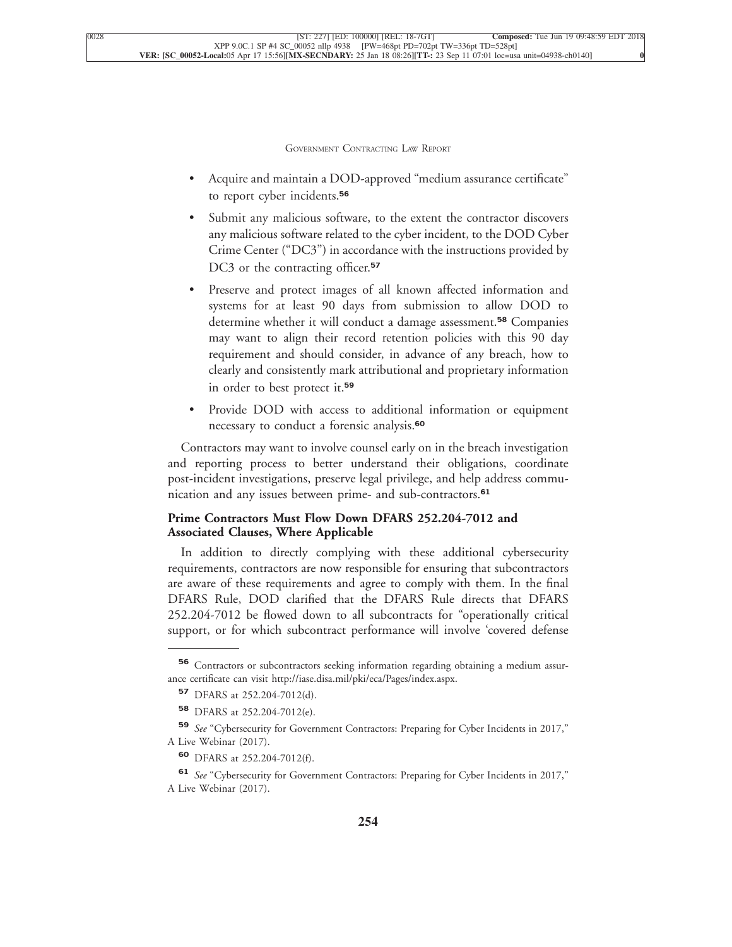- [•](xpath-> core:enum,  core:listitem/core:enum,  para-list,  style_01) [Acquire and maintain a DOD-approved "medium assurance certificate"](xpath-> core:para,  core:listitem/core:para,  para-list,  style_01) [to report cyber incidents.](xpath-> core:para,  core:listitem/core:para,  para-list,  style_01)**<sup>56</sup>**
- Submit any malicious software, to the extent the contractor discovers [any malicious software related to the cyber incident, to the DOD Cyber](xpath-> core:para,  core:listitem/core:para,  para-list,  style_01) [Crime Center \("DC3"\) in accordance with the instructions provided by](xpath-> core:para,  core:listitem/core:para,  para-list,  style_01) [DC3 or the contracting officer.](xpath-> core:para,  core:listitem/core:para,  para-list,  style_01)**<sup>57</sup>**
- [•](xpath-> core:enum,  core:listitem/core:enum,  para-list,  style_01) [Preserve and protect images of all known affected information and](xpath-> core:para,  core:listitem/core:para,  para-list,  style_01) [systems for at least 90 days from submission to allow DOD to](xpath-> core:para,  core:listitem/core:para,  para-list,  style_01) [determine whether it will conduct a damage assessment.](xpath-> core:para,  core:listitem/core:para,  para-list,  style_01)**<sup>58</sup>** Companies [may want to align their record retention policies with this 90 day](xpath-> core:para,  core:listitem/core:para,  para-list,  style_01) [requirement and should consider, in advance of any breach, how to](xpath-> core:para,  core:listitem/core:para,  para-list,  style_01) [clearly and consistently mark attributional and proprietary information](xpath-> core:para,  core:listitem/core:para,  para-list,  style_01) [in order to best protect it.](xpath-> core:para,  core:listitem/core:para,  para-list,  style_01)**<sup>59</sup>**
- [•](xpath-> core:enum,  core:listitem/core:enum,  para-list,  style_01) [Provide DOD with access to additional information or equipment](xpath-> core:para,  core:listitem/core:para,  para-list,  style_01) [necessary to conduct a forensic analysis.](xpath-> core:para,  core:listitem/core:para,  para-list,  style_01)**<sup>60</sup>**

[Contractors may want to involve counsel early on in the breach investigation](xpath-> core:para,  Default,  para-list,  style_01) [and reporting process to better understand their obligations, coordinate](xpath-> core:para,  Default,  para-list,  style_01) [post-incident investigations, preserve legal privilege, and help address commu](xpath-> core:para,  Default,  para-list,  style_01)[nication and any issues between prime- and sub-contractors.](xpath-> core:para,  Default,  para-list,  style_01)**<sup>61</sup>**

#### **[Prime Contractors Must Flow Down DFARS 252.204-7012 and](xpath-> core:generic-hd,  Default,  core_generic_hd,  style_01) [Associated Clauses, Where Applicable](xpath-> core:generic-hd,  Default,  core_generic_hd,  style_01)**

[In addition to directly complying with these additional cybersecurity](xpath-> core:para,  Default,  para-list,  style_01) [requirements, contractors are now responsible for ensuring that subcontractors](xpath-> core:para,  Default,  para-list,  style_01) [are aware of these requirements and agree to comply with them. In the final](xpath-> core:para,  Default,  para-list,  style_01) [DFARS Rule, DOD clarified that the DFARS Rule directs that DFARS](xpath-> core:para,  Default,  para-list,  style_01) [252.204-7012 be flowed down to all subcontracts for "operationally critical](xpath-> core:para,  Default,  para-list,  style_01) [support, or for which subcontract performance will involve 'covered defense](xpath-> core:para,  Default,  para-list,  style_01)

**<sup>56</sup>** [Contractors or subcontractors seeking information regarding obtaining a medium assur](xpath-> fn:para,  fn:footnote/fn:para,  footnote,  style_03)[ance certificate can visit](xpath-> fn:para,  fn:footnote/fn:para,  footnote,  style_03) [http://iase.disa.mil/pki/eca/Pages/index.aspx.](xpath-> core:url,  core:url,  endmatter,  style_01)

**<sup>57</sup>** [DFARS at 252.204-7012\(d\).](xpath-> fn:para,  fn:footnote/fn:para,  footnote,  style_03)

**<sup>58</sup>** [DFARS at 252.204-7012\(e\).](xpath-> fn:para,  fn:footnote/fn:para,  footnote,  style_03)

**<sup>59</sup>** *See* ["Cybersecurity for Government Contractors: Preparing for Cyber Incidents in 2017,"](xpath-> fn:para,  fn:footnote/fn:para,  footnote,  style_03) [A Live Webinar \(2017\).](xpath-> fn:para,  fn:footnote/fn:para,  footnote,  style_03)

**<sup>60</sup>** [DFARS at 252.204-7012\(f\).](xpath-> fn:para,  fn:footnote/fn:para,  footnote,  style_03)

**<sup>61</sup>** *See* ["Cybersecurity for Government Contractors: Preparing for Cyber Incidents in 2017,"](xpath-> fn:para,  fn:footnote/fn:para,  footnote,  style_03) [A Live Webinar \(2017\).](xpath-> fn:para,  fn:footnote/fn:para,  footnote,  style_03)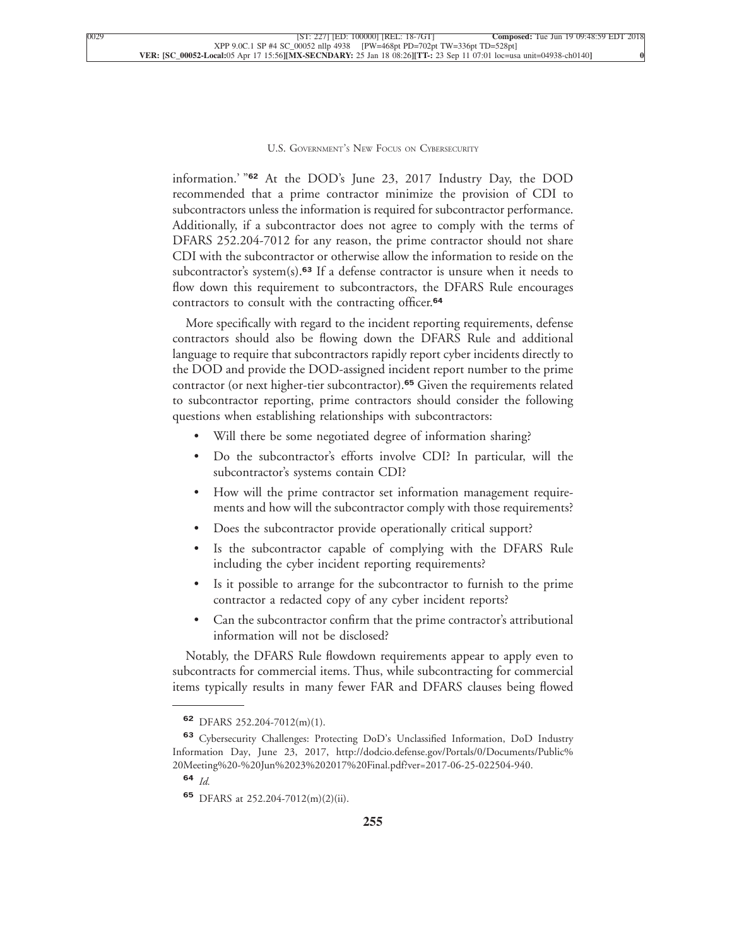information.' "**<sup>62</sup>** At the DOD's June 23, 2017 Industry Day, the DOD recommended that a prime contractor minimize the provision of CDI to subcontractors unless the information is required for subcontractor performance. Additionally, if a subcontractor does not agree to comply with the terms of DFARS 252.204-7012 for any reason, the prime contractor should not share CDI with the subcontractor or otherwise allow the information to reside on the subcontractor's system(s).**<sup>63</sup>** If a defense contractor is unsure when it needs to flow down this requirement to subcontractors, the DFARS Rule encourages [contractors to consult with the contracting officer.](xpath-> core:para,  Default,  para-list,  style_01)**<sup>64</sup>**

[More specifically with regard to the incident reporting requirements, defense](xpath-> core:para,  Default,  para-list,  style_01) [contractors should also be flowing down the DFARS Rule and additional](xpath-> core:para,  Default,  para-list,  style_01) [language to require that subcontractors rapidly report cyber incidents directly to](xpath-> core:para,  Default,  para-list,  style_01) [the DOD and provide the DOD-assigned incident report number to the prime](xpath-> core:para,  Default,  para-list,  style_01) [contractor \(or next higher-tier subcontractor\).](xpath-> core:para,  Default,  para-list,  style_01)**<sup>65</sup>** Given the requirements related [to subcontractor reporting, prime contractors should consider the following](xpath-> core:para,  Default,  para-list,  style_01) [questions when establishing relationships with subcontractors:](xpath-> core:para,  Default,  para-list,  style_01)

- Will there be some negotiated degree of information sharing?
- [•](xpath-> core:enum,  core:listitem/core:enum,  para-list,  style_01) [Do the subcontractor's efforts involve CDI? In particular, will the](xpath-> core:para,  core:listitem/core:para,  para-list,  style_01) [subcontractor's systems contain CDI?](xpath-> core:para,  core:listitem/core:para,  para-list,  style_01)
- [•](xpath-> core:enum,  core:listitem/core:enum,  para-list,  style_01) [How will the prime contractor set information management require](xpath-> core:para,  core:listitem/core:para,  para-list,  style_01)[ments and how will the subcontractor comply with those requirements?](xpath-> core:para,  core:listitem/core:para,  para-list,  style_01)
- [•](xpath-> core:enum,  core:listitem/core:enum,  para-list,  style_01) [Does the subcontractor provide operationally critical support?](xpath-> core:para,  core:listitem/core:para,  para-list,  style_01)
- [•](xpath-> core:enum,  core:listitem/core:enum,  para-list,  style_01) [Is the subcontractor capable of complying with the DFARS Rule](xpath-> core:para,  core:listitem/core:para,  para-list,  style_01) [including the cyber incident reporting requirements?](xpath-> core:para,  core:listitem/core:para,  para-list,  style_01)
- Is it possible to arrange for the subcontractor to furnish to the prime [contractor a redacted copy of any cyber incident reports?](xpath-> core:para,  core:listitem/core:para,  para-list,  style_01)
- [•](xpath-> core:enum,  core:listitem/core:enum,  para-list,  style_01) [Can the subcontractor confirm that the prime contractor's attributional](xpath-> core:para,  core:listitem/core:para,  para-list,  style_01) [information will not be disclosed?](xpath-> core:para,  core:listitem/core:para,  para-list,  style_01)

[Notably, the DFARS Rule flowdown requirements appear to apply even to](xpath-> core:para,  Default,  para-list,  style_01) [subcontracts for commercial items. Thus, while subcontracting for commercial](xpath-> core:para,  Default,  para-list,  style_01) [items typically results in many fewer FAR and DFARS clauses being flowed](xpath-> core:para,  Default,  para-list,  style_01)

**<sup>62</sup>** [DFARS 252.204-7012\(m\)\(1\).](xpath-> fn:para,  fn:footnote/fn:para,  footnote,  style_03)

**<sup>63</sup>** [Cybersecurity Challenges: Protecting DoD's Unclassified Information, DoD Industry](xpath-> fn:para,  fn:footnote/fn:para,  footnote,  style_03) [Information Day, June 23, 2017,](xpath-> fn:para,  fn:footnote/fn:para,  footnote,  style_03) [http://dodcio.defense.gov/Portals/0/Documents/Public%](xpath-> core:url,  core:url,  endmatter,  style_01) [20Meeting%20-%20Jun%2023%202017%20Final.pdf?ver=2017-06-25-022504-940.](xpath-> core:url,  core:url,  endmatter,  style_01)

**<sup>64</sup>** *[Id.](xpath-> fn:para,  fn:footnote/fn:para,  footnote,  style_03)*

**<sup>65</sup>** [DFARS at 252.204-7012\(m\)\(2\)\(ii\).](xpath-> fn:para,  fn:footnote/fn:para,  footnote,  style_03)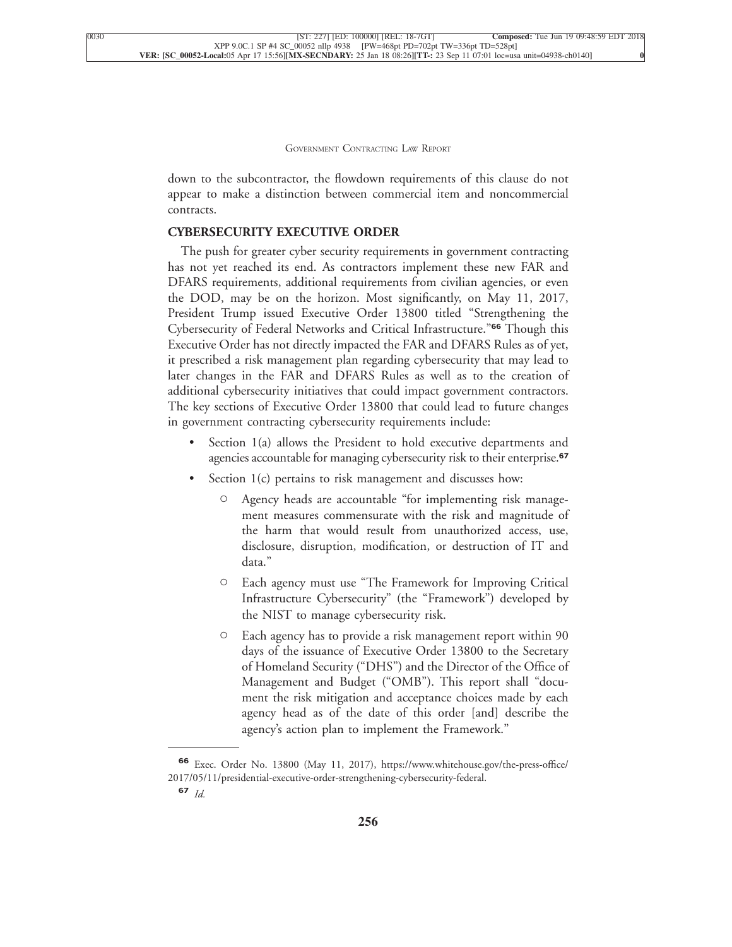down to the subcontractor, the flowdown requirements of this clause do not appear to make a distinction between commercial item and noncommercial [contracts.](xpath-> core:para,  Default,  para-list,  style_01)

#### **[CYBERSECURITY EXECUTIVE ORDER](xpath-> core:generic-hd,  Default,  core_generic_hd,  style_01)**

[The push for greater cyber security requirements in government contracting](xpath-> core:para,  Default,  para-list,  style_01) [has not yet reached its end. As contractors implement these new FAR and](xpath-> core:para,  Default,  para-list,  style_01) [DFARS requirements, additional requirements from civilian agencies, or even](xpath-> core:para,  Default,  para-list,  style_01) [the DOD, may be on the horizon. Most significantly, on May 11, 2017,](xpath-> core:para,  Default,  para-list,  style_01) [President Trump issued Executive Order 13800 titled "Strengthening the](xpath-> core:para,  Default,  para-list,  style_01) [Cybersecurity of Federal Networks and Critical Infrastructure."](xpath-> core:para,  Default,  para-list,  style_01)**<sup>66</sup>** Though this [Executive Order has not directly impacted the FAR and DFARS Rules as of yet,](xpath-> core:para,  Default,  para-list,  style_01) [it prescribed a risk management plan regarding cybersecurity that may lead to](xpath-> core:para,  Default,  para-list,  style_01) [later changes in the FAR and DFARS Rules as well as to the creation of](xpath-> core:para,  Default,  para-list,  style_01) [additional cybersecurity initiatives that could impact government contractors.](xpath-> core:para,  Default,  para-list,  style_01) [The key sections of Executive Order 13800 that could lead to future changes](xpath-> core:para,  Default,  para-list,  style_01) [in government contracting cybersecurity requirements include:](xpath-> core:para,  Default,  para-list,  style_01)

- Section 1(a) allows the President to hold executive departments and [agencies accountable for managing cybersecurity risk to their enterprise.](xpath-> core:para,  core:listitem/core:para,  para-list,  style_01)**<sup>67</sup>**
- Section 1(c) pertains to risk management and discusses how:
	- [C](xpath-> core:enum,  core:listitem/core:enum,  para-list,  style_01) [Agency heads are accountable "for implementing risk manage](xpath-> core:para,  core:listitem/core:para,  para-list,  style_01)[ment measures commensurate with the risk and magnitude of](xpath-> core:para,  core:listitem/core:para,  para-list,  style_01) [the harm that would result from unauthorized access, use,](xpath-> core:para,  core:listitem/core:para,  para-list,  style_01) [disclosure, disruption, modification, or destruction of IT and](xpath-> core:para,  core:listitem/core:para,  para-list,  style_01) [data."](xpath-> core:para,  core:listitem/core:para,  para-list,  style_01)
	- [C](xpath-> core:enum,  core:listitem/core:enum,  para-list,  style_01) [Each agency must use "The Framework for Improving Critical](xpath-> core:para,  core:listitem/core:para,  para-list,  style_01) [Infrastructure Cybersecurity" \(the "Framework"\) developed by](xpath-> core:para,  core:listitem/core:para,  para-list,  style_01) [the NIST to manage cybersecurity risk.](xpath-> core:para,  core:listitem/core:para,  para-list,  style_01)
	- [C](xpath-> core:enum,  core:listitem/core:enum,  para-list,  style_01) [Each agency has to provide a risk management report within 90](xpath-> core:para,  core:listitem/core:para,  para-list,  style_01) [days of the issuance of Executive Order 13800 to the Secretary](xpath-> core:para,  core:listitem/core:para,  para-list,  style_01) [of Homeland Security \("DHS"\) and the Director of the Office of](xpath-> core:para,  core:listitem/core:para,  para-list,  style_01) [Management and Budget \("OMB"\). This report shall "docu](xpath-> core:para,  core:listitem/core:para,  para-list,  style_01)[ment the risk mitigation and acceptance choices made by each](xpath-> core:para,  core:listitem/core:para,  para-list,  style_01) [agency head as of the date of this order \[and\] describe the](xpath-> core:para,  core:listitem/core:para,  para-list,  style_01) [agency's action plan to implement the Framework."](xpath-> core:para,  core:listitem/core:para,  para-list,  style_01)

**<sup>66</sup>** [Exec. Order No. 13800 \(May 11, 2017\),](xpath-> fn:para,  fn:footnote/fn:para,  footnote,  style_03) [https://www.whitehouse.gov/the-press-office/](xpath-> core:url,  core:url,  endmatter,  style_01) [2017/05/11/presidential-executive-order-strengthening-cybersecurity-federal.](xpath-> core:url,  core:url,  endmatter,  style_01)

**<sup>67</sup>** *[Id.](xpath-> fn:para,  fn:footnote/fn:para,  footnote,  style_03)*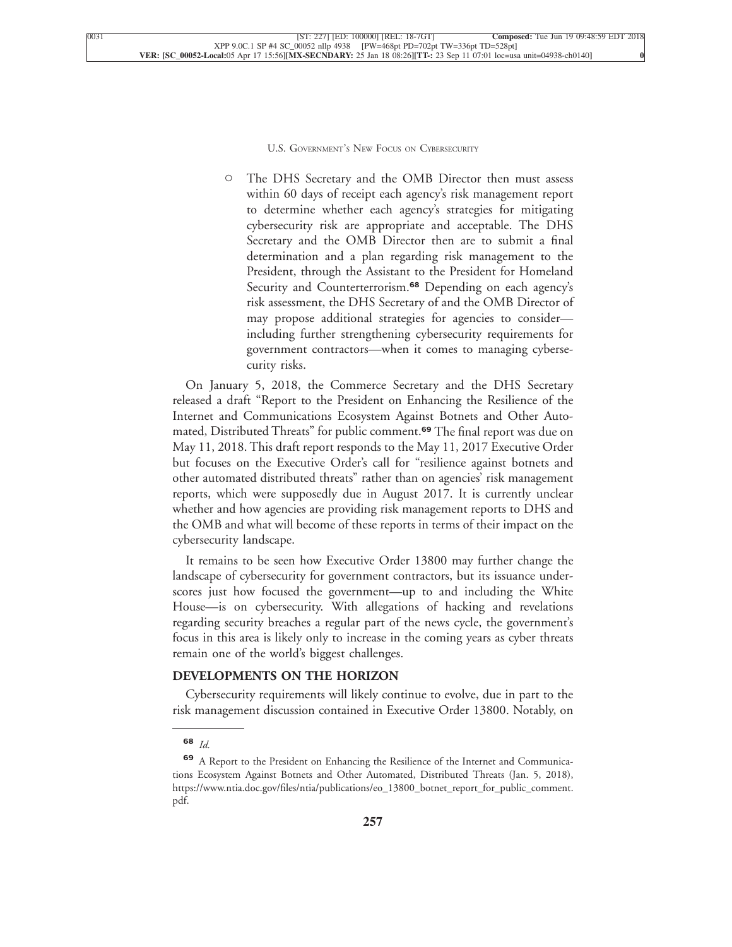[C](xpath-> core:enum,  core:listitem/core:enum,  para-list,  style_01) [The DHS Secretary and the OMB Director then must assess](xpath-> core:para,  core:listitem/core:para,  para-list,  style_01) [within 60 days of receipt each agency's risk management report](xpath-> core:para,  core:listitem/core:para,  para-list,  style_01) [to determine whether each agency's strategies for mitigating](xpath-> core:para,  core:listitem/core:para,  para-list,  style_01) [cybersecurity risk are appropriate and acceptable. The DHS](xpath-> core:para,  core:listitem/core:para,  para-list,  style_01) [Secretary and the OMB Director then are to submit a final](xpath-> core:para,  core:listitem/core:para,  para-list,  style_01) [determination and a plan regarding risk management to the](xpath-> core:para,  core:listitem/core:para,  para-list,  style_01) [President, through the Assistant to the President for Homeland](xpath-> core:para,  core:listitem/core:para,  para-list,  style_01) [Security and Counterterrorism.](xpath-> core:para,  core:listitem/core:para,  para-list,  style_01)**<sup>68</sup>** Depending on each agency's [risk assessment, the DHS Secretary of and the OMB Director of](xpath-> core:para,  core:listitem/core:para,  para-list,  style_01) [may propose additional strategies for agencies to consider](xpath-> core:para,  core:listitem/core:para,  para-list,  style_01) [including further strengthening cybersecurity requirements for](xpath-> core:para,  core:listitem/core:para,  para-list,  style_01) [government contractors—when it comes to managing cyberse](xpath-> core:para,  core:listitem/core:para,  para-list,  style_01)[curity risks.](xpath-> core:para,  core:listitem/core:para,  para-list,  style_01)

[On January 5, 2018, the Commerce Secretary and the DHS Secretary](xpath-> core:para,  Default,  para-list,  style_01) [released a draft "Report to the President on Enhancing the Resilience of the](xpath-> core:para,  Default,  para-list,  style_01) [Internet and Communications Ecosystem Against Botnets and Other Auto](xpath-> core:para,  Default,  para-list,  style_01)[mated, Distributed Threats" for public comment.](xpath-> core:para,  Default,  para-list,  style_01)**<sup>69</sup>** The final report was due on [May 11, 2018. This draft report responds to the May 11, 2017 Executive Order](xpath-> core:para,  Default,  para-list,  style_01) [but focuses on the Executive Order's call for "resilience against botnets and](xpath-> core:para,  Default,  para-list,  style_01) [other automated distributed threats" rather than on agencies' risk management](xpath-> core:para,  Default,  para-list,  style_01) [reports, which were supposedly due in August 2017. It is currently unclear](xpath-> core:para,  Default,  para-list,  style_01) [whether and how agencies are providing risk management reports to DHS and](xpath-> core:para,  Default,  para-list,  style_01) [the OMB and what will become of these reports in terms of their impact on the](xpath-> core:para,  Default,  para-list,  style_01) [cybersecurity landscape.](xpath-> core:para,  Default,  para-list,  style_01)

[It remains to be seen how Executive Order 13800 may further change the](xpath-> core:para,  Default,  para-list,  style_01) [landscape of cybersecurity for government contractors, but its issuance under](xpath-> core:para,  Default,  para-list,  style_01)[scores just how focused the government—up to and including the White](xpath-> core:para,  Default,  para-list,  style_01) [House—is on cybersecurity. With allegations of hacking and revelations](xpath-> core:para,  Default,  para-list,  style_01) [regarding security breaches a regular part of the news cycle, the government's](xpath-> core:para,  Default,  para-list,  style_01) [focus in this area is likely only to increase in the coming years as cyber threats](xpath-> core:para,  Default,  para-list,  style_01) [remain one of the world's biggest challenges.](xpath-> core:para,  Default,  para-list,  style_01)

#### **[DEVELOPMENTS ON THE HORIZON](xpath-> core:generic-hd,  Default,  core_generic_hd,  style_01)**

[Cybersecurity requirements will likely continue to evolve, due in part to the](xpath-> core:para,  Default,  para-list,  style_01) [risk management discussion contained in Executive Order 13800. Notably, on](xpath-> core:para,  Default,  para-list,  style_01)

**<sup>68</sup>** *[Id.](xpath-> fn:para,  fn:footnote/fn:para,  footnote,  style_03)*

**<sup>69</sup>** [A Report to the President on Enhancing the Resilience of the Internet and Communica](xpath-> fn:para,  fn:footnote/fn:para,  footnote,  style_03)[tions Ecosystem Against Botnets and Other Automated, Distributed Threats \(Jan. 5, 2018\),](xpath-> fn:para,  fn:footnote/fn:para,  footnote,  style_03) [https://www.ntia.doc.gov/files/ntia/publications/eo\\_13800\\_botnet\\_report\\_for\\_public\\_comment.](xpath-> core:url,  core:url,  endmatter,  style_01) [pdf.](xpath-> core:url,  core:url,  endmatter,  style_01)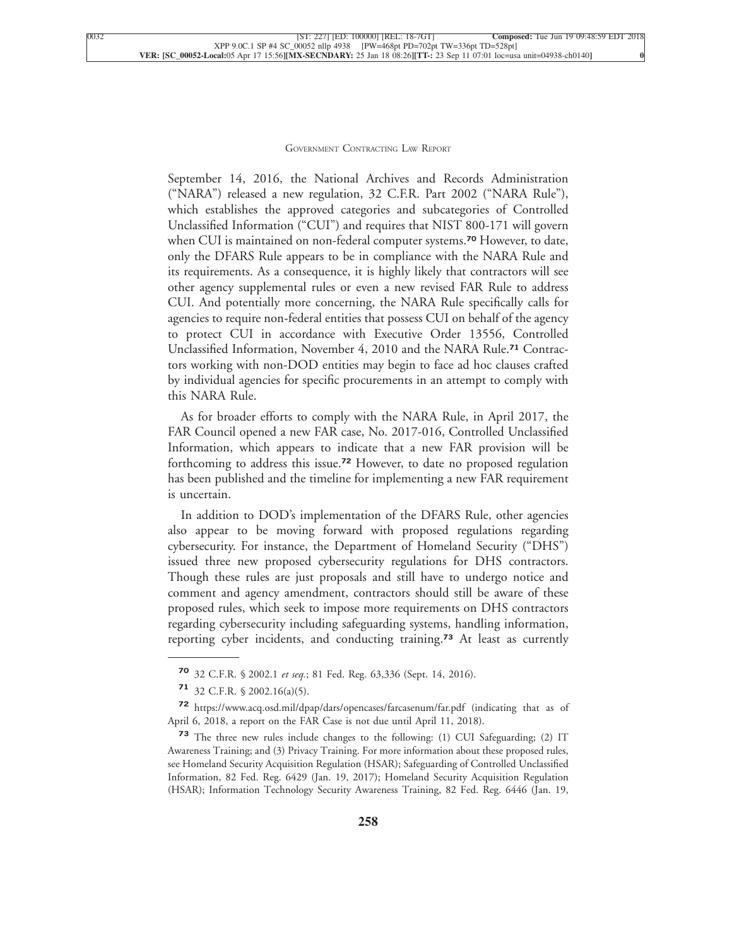September 14, 2016, the National Archives and Records Administration ("NARA") released a new regulation, 32 C.F.R. Part 2002 ("NARA Rule"), which establishes the approved categories and subcategories of Controlled Unclassified Information ("CUI") and requires that NIST 800-171 will govern when CUI is maintained on non-federal computer systems.**<sup>70</sup>** However, to date, only the DFARS Rule appears to be in compliance with the NARA Rule and its requirements. As a consequence, it is highly likely that contractors will see other agency supplemental rules or even a new revised FAR Rule to address CUI. And potentially more concerning, the NARA Rule specifically calls for agencies to require non-federal entities that possess CUI on behalf of the agency to protect CUI in accordance with Executive Order 13556, Controlled Unclassified Information, November 4, 2010 and the NARA Rule.**<sup>71</sup>** Contractors working with non-DOD entities may begin to face ad hoc clauses crafted by individual agencies for specific procurements in an attempt to comply with [this NARA Rule.](xpath-> core:para,  Default,  para-list,  style_01)

[As for broader efforts to comply with the NARA Rule, in April 2017, the](xpath-> core:para,  Default,  para-list,  style_01) [FAR Council opened a new FAR case, No. 2017-016, Controlled Unclassified](xpath-> core:para,  Default,  para-list,  style_01) [Information, which appears to indicate that a new FAR provision will be](xpath-> core:para,  Default,  para-list,  style_01) forthcoming to address this issue.**<sup>72</sup>** [However, to date no proposed regulation](xpath-> core:para,  Default,  para-list,  style_01) [has been published and the timeline for implementing a new FAR requirement](xpath-> core:para,  Default,  para-list,  style_01) [is uncertain.](xpath-> core:para,  Default,  para-list,  style_01)

[In addition to DOD's implementation of the DFARS Rule, other agencies](xpath-> core:para,  Default,  para-list,  style_01) [also appear to be moving forward with proposed regulations regarding](xpath-> core:para,  Default,  para-list,  style_01) [cybersecurity. For instance, the Department of Homeland Security \("DHS"\)](xpath-> core:para,  Default,  para-list,  style_01) [issued three new proposed cybersecurity regulations for DHS contractors.](xpath-> core:para,  Default,  para-list,  style_01) [Though these rules are just proposals and still have to undergo notice and](xpath-> core:para,  Default,  para-list,  style_01) [comment and agency amendment, contractors should still be aware of these](xpath-> core:para,  Default,  para-list,  style_01) [proposed rules, which seek to impose more requirements on DHS contractors](xpath-> core:para,  Default,  para-list,  style_01) [regarding cybersecurity including safeguarding systems, handling information,](xpath-> core:para,  Default,  para-list,  style_01) [reporting cyber incidents, and conducting training.](xpath-> core:para,  Default,  para-list,  style_01)**<sup>73</sup>** At least as currently

**<sup>70</sup>** 32 C.F.R. § 2002.1 *et seq.*[; 81 Fed. Reg. 63,336 \(Sept. 14, 2016\).](xpath-> fn:para,  fn:footnote/fn:para,  footnote,  style_03)

**<sup>71</sup>** [32 C.F.R. § 2002.16\(a\)\(5\).](xpath-> fn:para,  fn:footnote/fn:para,  footnote,  style_03)

**[<sup>72</sup>](xpath-> fn:para,  fn:footnote/fn:para,  footnote,  style_03)** [https://www.acq.osd.mil/dpap/dars/opencases/farcasenum/far.pdf](xpath-> core:url,  core:url,  endmatter,  style_01) (indicating that as of April 6, 2018, a report on the FAR Case is not due until April 11, 2018).

**<sup>73</sup>** [The three new rules include changes to the following: \(1\) CUI Safeguarding; \(2\) IT](xpath-> fn:para,  fn:footnote/fn:para,  footnote,  style_03) [Awareness Training; and \(3\) Privacy Training. For more information about these proposed rules,](xpath-> fn:para,  fn:footnote/fn:para,  footnote,  style_03) [see Homeland Security Acquisition Regulation \(HSAR\); Safeguarding of Controlled Unclassified](xpath-> fn:para,  fn:footnote/fn:para,  footnote,  style_03) [Information, 82 Fed. Reg. 6429 \(Jan. 19, 2017\); Homeland Security Acquisition Regulation](xpath-> fn:para,  fn:footnote/fn:para,  footnote,  style_03) [\(HSAR\); Information Technology Security Awareness Training, 82 Fed. Reg. 6446 \(Jan. 19,](xpath-> fn:para,  fn:footnote/fn:para,  footnote,  style_03)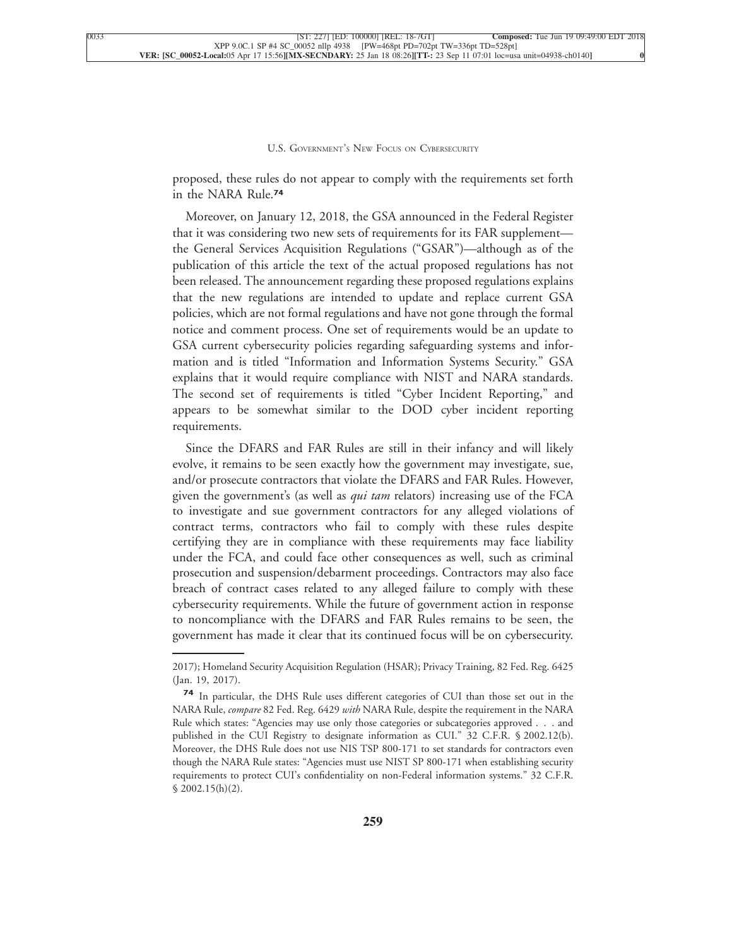proposed, these rules do not appear to comply with the requirements set forth [in the NARA Rule.](xpath-> core:para,  Default,  para-list,  style_01)**<sup>74</sup>**

[Moreover, on January 12, 2018, the GSA announced in the Federal Register](xpath-> core:para,  Default,  para-list,  style_01) [that it was considering two new sets of requirements for its FAR supplement](xpath-> core:para,  Default,  para-list,  style_01) [the General Services Acquisition Regulations \("GSAR"\)—although as of the](xpath-> core:para,  Default,  para-list,  style_01) [publication of this article the text of the actual proposed regulations has not](xpath-> core:para,  Default,  para-list,  style_01) [been released. The announcement regarding these proposed regulations explains](xpath-> core:para,  Default,  para-list,  style_01) [that the new regulations are intended to update and replace current GSA](xpath-> core:para,  Default,  para-list,  style_01) [policies, which are not formal regulations and have not gone through the formal](xpath-> core:para,  Default,  para-list,  style_01) [notice and comment process. One set of requirements would be an update to](xpath-> core:para,  Default,  para-list,  style_01) [GSA current cybersecurity policies regarding safeguarding systems and infor](xpath-> core:para,  Default,  para-list,  style_01)[mation and is titled "Information and Information Systems Security." GSA](xpath-> core:para,  Default,  para-list,  style_01) [explains that it would require compliance with NIST and NARA standards.](xpath-> core:para,  Default,  para-list,  style_01) [The second set of requirements is titled "Cyber Incident Reporting," and](xpath-> core:para,  Default,  para-list,  style_01) [appears to be somewhat similar to the DOD cyber incident reporting](xpath-> core:para,  Default,  para-list,  style_01) [requirements.](xpath-> core:para,  Default,  para-list,  style_01)

[Since the DFARS and FAR Rules are still in their infancy and will likely](xpath-> core:para,  Default,  para-list,  style_01) [evolve, it remains to be seen exactly how the government may investigate, sue,](xpath-> core:para,  Default,  para-list,  style_01) [and/or prosecute contractors that violate the DFARS and FAR Rules. However,](xpath-> core:para,  Default,  para-list,  style_01) given the government's (as well as *qui tam* [relators\) increasing use of the FCA](xpath-> core:para,  Default,  para-list,  style_01) [to investigate and sue government contractors for any alleged violations of](xpath-> core:para,  Default,  para-list,  style_01) [contract terms, contractors who fail to comply with these rules despite](xpath-> core:para,  Default,  para-list,  style_01) [certifying they are in compliance with these requirements may face liability](xpath-> core:para,  Default,  para-list,  style_01) [under the FCA, and could face other consequences as well, such as criminal](xpath-> core:para,  Default,  para-list,  style_01) [prosecution and suspension/debarment proceedings. Contractors may also face](xpath-> core:para,  Default,  para-list,  style_01) [breach of contract cases related to any alleged failure to comply with these](xpath-> core:para,  Default,  para-list,  style_01) [cybersecurity requirements. While the future of government action in response](xpath-> core:para,  Default,  para-list,  style_01) [to noncompliance with the DFARS and FAR Rules remains to be seen, the](xpath-> core:para,  Default,  para-list,  style_01) [government has made it clear that its continued focus will be on cybersecurity.](xpath-> core:para,  Default,  para-list,  style_01)

[<sup>2017\);</sup> Homeland Security Acquisition Regulation \(HSAR\); Privacy Training, 82 Fed. Reg. 6425](xpath-> foots,  Default,  footnote,  style_03) [\(Jan. 19, 2017\).](xpath-> foots,  Default,  footnote,  style_03)

**<sup>74</sup>** [In particular, the DHS Rule uses different categories of CUI than those set out in the](xpath-> fn:para,  fn:footnote/fn:para,  footnote,  style_03) NARA Rule, *compare* 82 Fed. Reg. 6429 *with* [NARA Rule, despite the requirement in the NARA](xpath-> fn:para,  fn:footnote/fn:para,  footnote,  style_03) [Rule which states: "Agencies may use only those categories or subcategories approved . . . and](xpath-> fn:para,  fn:footnote/fn:para,  footnote,  style_03) [published in the CUI Registry to designate information as CUI." 32 C.F.R. § 2002.12\(b\).](xpath-> fn:para,  fn:footnote/fn:para,  footnote,  style_03) [Moreover, the DHS Rule does not use NIS TSP 800-171 to set standards for contractors even](xpath-> fn:para,  fn:footnote/fn:para,  footnote,  style_03) [though the NARA Rule states: "Agencies must use NIST SP 800-171 when establishing security](xpath-> fn:para,  fn:footnote/fn:para,  footnote,  style_03) [requirements to protect CUI's confidentiality on non-Federal information systems." 32 C.F.R.](xpath-> fn:para,  fn:footnote/fn:para,  footnote,  style_03) [§ 2002.15\(h\)\(2\).](xpath-> fn:para,  fn:footnote/fn:para,  footnote,  style_03)